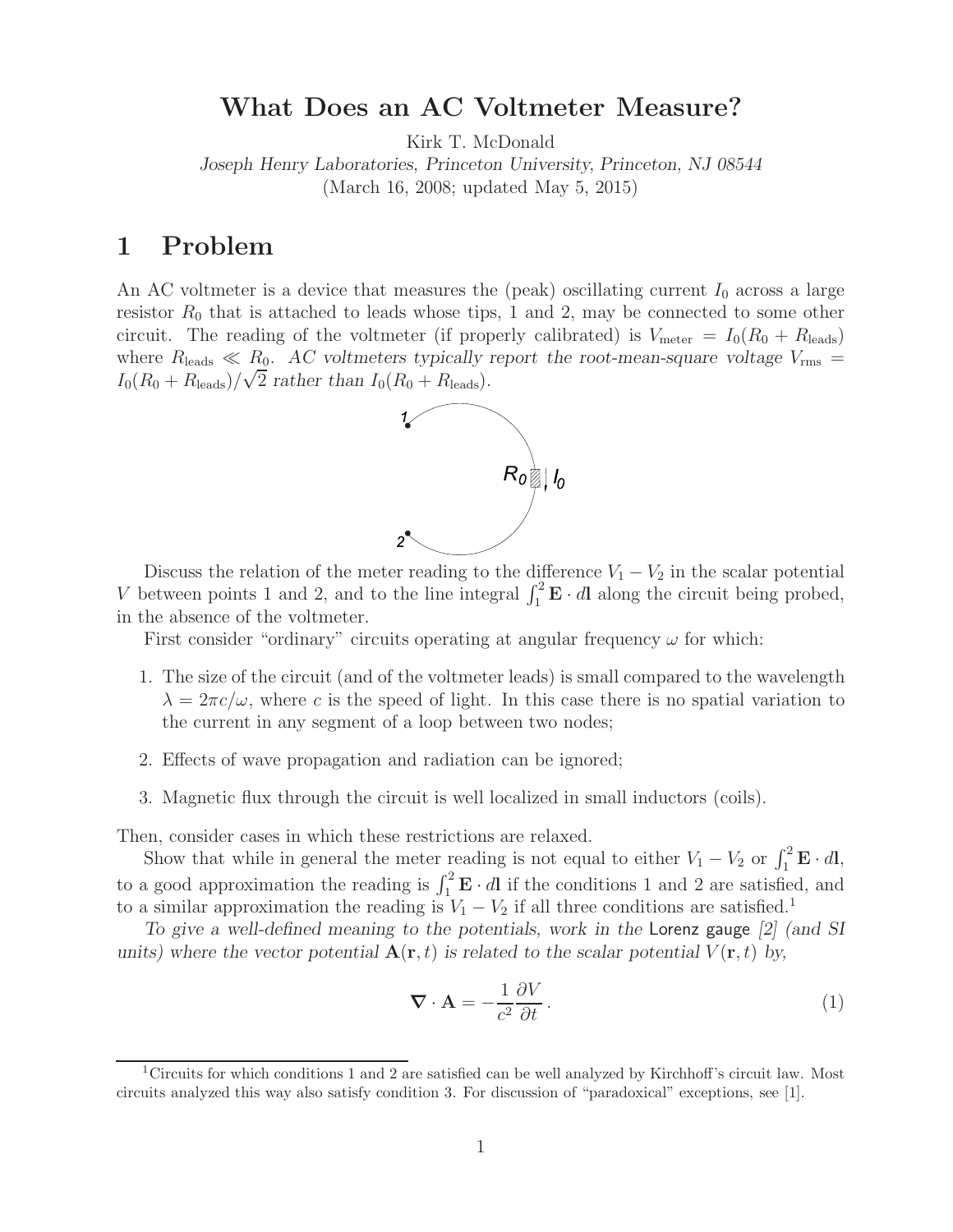# **What Does an AC Voltmeter Measure?**

Kirk T. McDonald

*Joseph Henry Laboratories, Princeton University, Princeton, NJ 08544* (March 16, 2008; updated May 5, 2015)

# **1 Problem**

An AC voltmeter is a device that measures the (peak) oscillating current  $I_0$  across a large resistor  $R_0$  that is attached to leads whose tips, 1 and 2, may be connected to some other circuit. The reading of the voltmeter (if properly calibrated) is  $V_{\text{meter}} = I_0(R_0 + R_{\text{leads}})$ where  $R_{\text{leads}} \ll R_0$ . *AC voltmeters typically report the root-mean-square voltage*  $V_{\text{rms}}$  =  $I_0(R_0 + R_{\text{leads}})/\sqrt{2}$  *rather than*  $I_0(R_0 + R_{\text{leads}})$ .



Discuss the relation of the meter reading to the difference  $V_1 - V_2$  in the scalar potential V between points 1 and 2, and to the line integral  $\int_1^2 \mathbf{E} \cdot d\mathbf{l}$  along the circuit being probed, in the absence of the voltmeter.

First consider "ordinary" circuits operating at angular frequency  $\omega$  for which:

- 1. The size of the circuit (and of the voltmeter leads) is small compared to the wavelength  $\lambda = 2\pi c/\omega$ , where c is the speed of light. In this case there is no spatial variation to the current in any segment of a loop between two nodes;
- 2. Effects of wave propagation and radiation can be ignored;
- 3. Magnetic flux through the circuit is well localized in small inductors (coils).

Then, consider cases in which these restrictions are relaxed.

Show that while in general the meter reading is not equal to either  $V_1 - V_2$  or  $\int_1^2 \mathbf{E} \cdot d\mathbf{l}$ , to a good approximation the reading is  $\int_1^2 \mathbf{E} \cdot d\mathbf{l}$  if the conditions 1 and 2 are satisfied, and to a similar approximation the reading is  $V_1 - V_2$  if all three conditions are satisfied.<sup>1</sup>

*To give a well-defined meaning to the potentials, work in the* Lorenz gauge *[2] (and SI units)* where the vector potential  $\mathbf{A}(\mathbf{r},t)$  is related to the scalar potential  $V(\mathbf{r},t)$  by,

$$
\nabla \cdot \mathbf{A} = -\frac{1}{c^2} \frac{\partial V}{\partial t}.
$$
 (1)

<sup>&</sup>lt;sup>1</sup>Circuits for which conditions 1 and 2 are satisfied can be well analyzed by Kirchhoff's circuit law. Most circuits analyzed this way also satisfy condition 3. For discussion of "paradoxical" exceptions, see [1].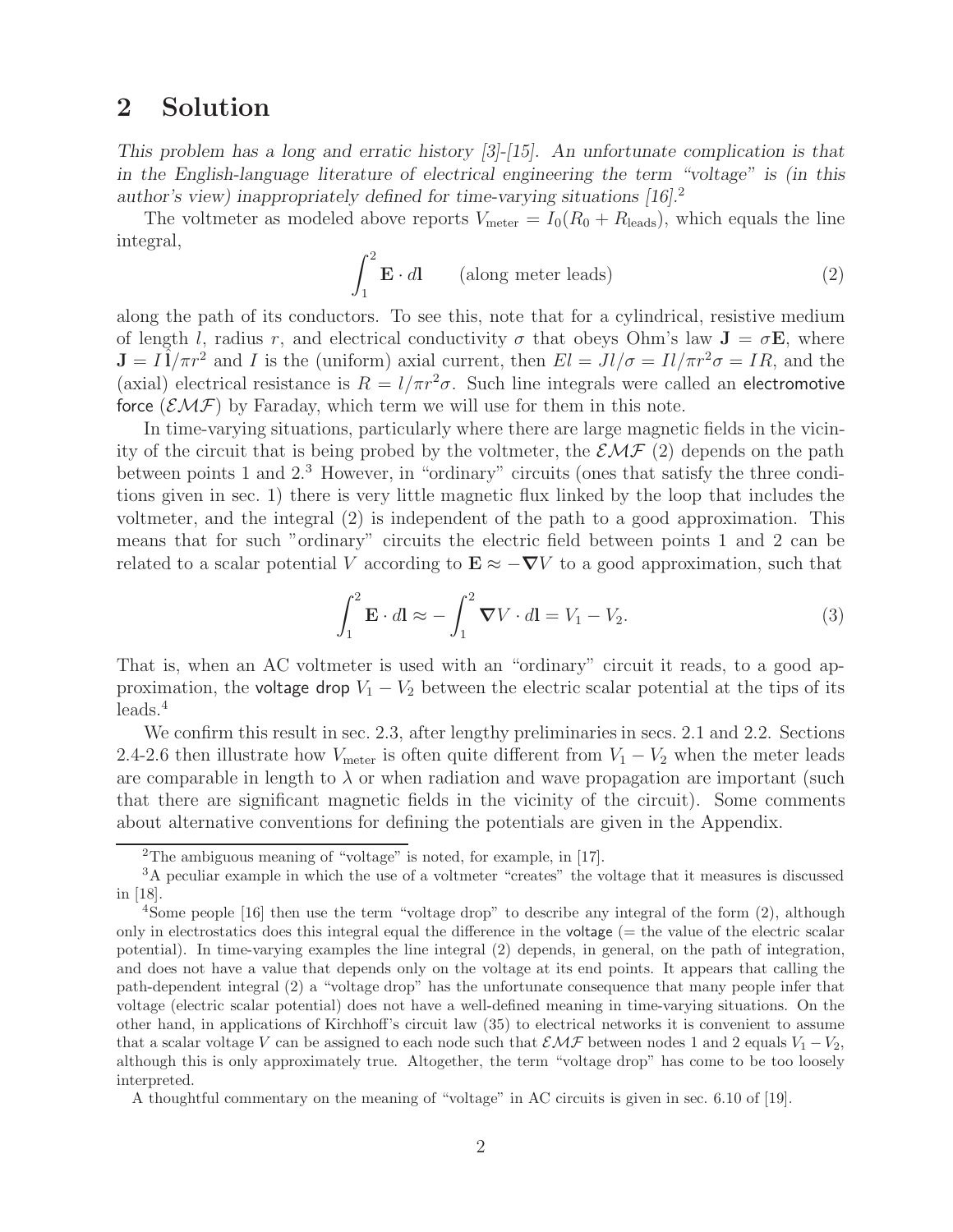# **2 Solution**

*This problem has a long and erratic history [3]-[15]. An unfortunate complication is that in the English-language literature of electrical engineering the term "voltage" is (in this author's view) inappropriately defined for time-varying situations [16].*<sup>2</sup>

The voltmeter as modeled above reports  $V_{\text{meter}} = I_0(R_0 + R_{\text{leads}})$ , which equals the line integral,

$$
\int_{1}^{2} \mathbf{E} \cdot d\mathbf{l} \qquad \text{(along meter leads)} \tag{2}
$$

along the path of its conductors. To see this, note that for a cylindrical, resistive medium of length l, radius r, and electrical conductivity  $\sigma$  that obeys Ohm's law  $J = \sigma E$ , where  $J = I\hat{I}/\pi r^2$  and I is the (uniform) axial current, then  $El = Jl/\sigma = Il/\pi r^2\sigma = IR$ , and the (axial) electrical resistance is  $R = l/\pi r^2 \sigma$ . Such line integrals were called an electromotive force  $(\mathcal{EMF})$  by Faraday, which term we will use for them in this note.

In time-varying situations, particularly where there are large magnetic fields in the vicinity of the circuit that is being probed by the voltmeter, the  $\mathcal{EMF}(2)$  depends on the path between points 1 and 2.<sup>3</sup> However, in "ordinary" circuits (ones that satisfy the three conditions given in sec. 1) there is very little magnetic flux linked by the loop that includes the voltmeter, and the integral (2) is independent of the path to a good approximation. This means that for such "ordinary" circuits the electric field between points 1 and 2 can be related to a scalar potential V according to  $\mathbf{E} \approx -\nabla V$  to a good approximation, such that

$$
\int_{1}^{2} \mathbf{E} \cdot d\mathbf{l} \approx -\int_{1}^{2} \mathbf{\nabla} V \cdot d\mathbf{l} = V_{1} - V_{2}.
$$
 (3)

That is, when an AC voltmeter is used with an "ordinary" circuit it reads, to a good approximation, the voltage drop  $V_1 - V_2$  between the electric scalar potential at the tips of its  $leads.<sup>4</sup>$ 

We confirm this result in sec. 2.3, after lengthy preliminaries in secs. 2.1 and 2.2. Sections 2.4-2.6 then illustrate how  $V_{\text{meter}}$  is often quite different from  $V_1 - V_2$  when the meter leads are comparable in length to  $\lambda$  or when radiation and wave propagation are important (such that there are significant magnetic fields in the vicinity of the circuit). Some comments about alternative conventions for defining the potentials are given in the Appendix.

<sup>2</sup>The ambiguous meaning of "voltage" is noted, for example, in [17].

<sup>&</sup>lt;sup>3</sup>A peculiar example in which the use of a voltmeter "creates" the voltage that it measures is discussed in [18].

<sup>4</sup>Some people [16] then use the term "voltage drop" to describe any integral of the form (2), although only in electrostatics does this integral equal the difference in the voltage  $(=$  the value of the electric scalar potential). In time-varying examples the line integral (2) depends, in general, on the path of integration, and does not have a value that depends only on the voltage at its end points. It appears that calling the path-dependent integral (2) a "voltage drop" has the unfortunate consequence that many people infer that voltage (electric scalar potential) does not have a well-defined meaning in time-varying situations. On the other hand, in applications of Kirchhoff's circuit law (35) to electrical networks it is convenient to assume that a scalar voltage V can be assigned to each node such that  $\mathcal{EMF}$  between nodes 1 and 2 equals  $V_1 - V_2$ , although this is only approximately true. Altogether, the term "voltage drop" has come to be too loosely interpreted.

A thoughtful commentary on the meaning of "voltage" in AC circuits is given in sec. 6.10 of [19].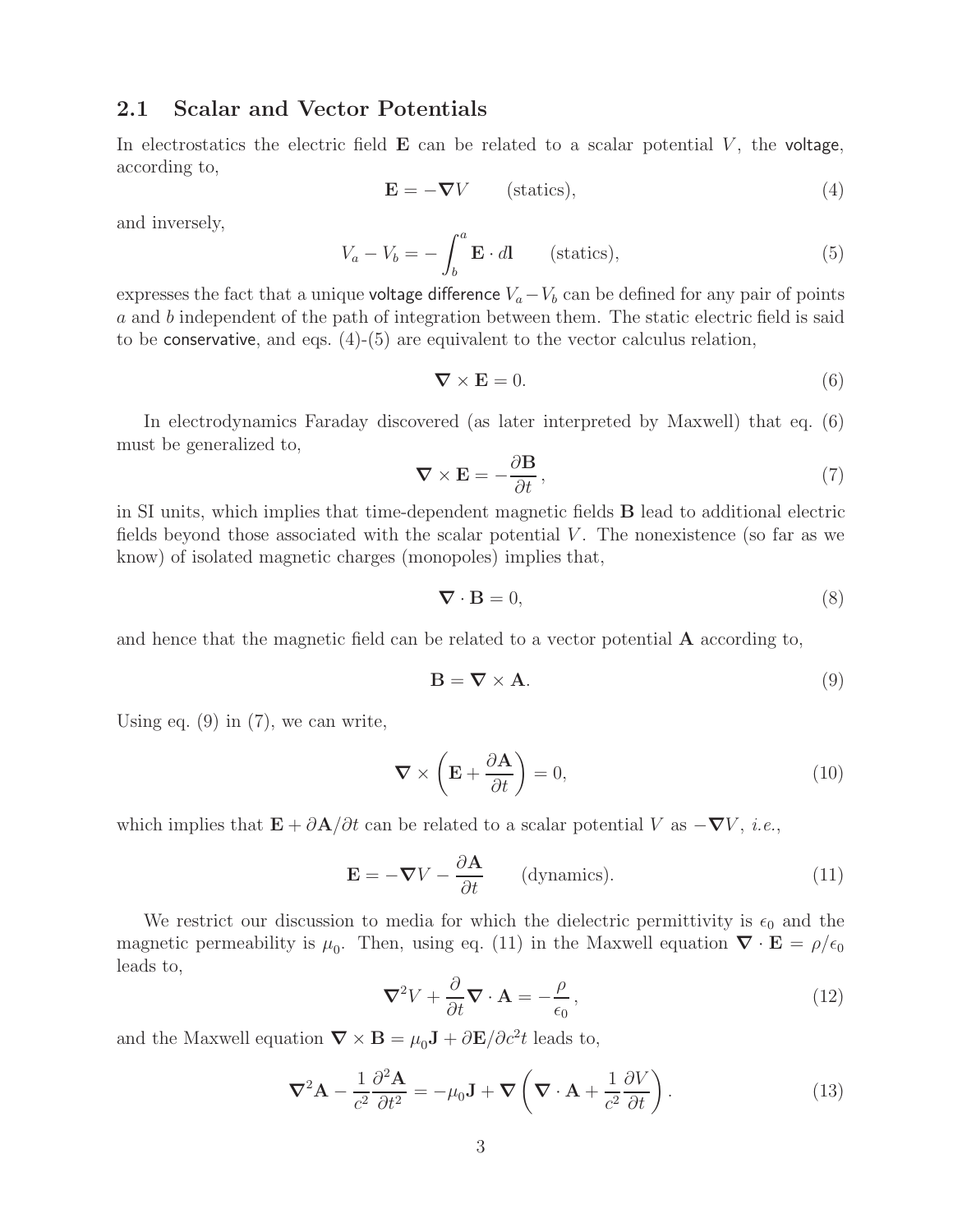### **2.1 Scalar and Vector Potentials**

In electrostatics the electric field  $E$  can be related to a scalar potential  $V$ , the voltage, according to,

$$
\mathbf{E} = -\nabla V \qquad \text{(statics)},\tag{4}
$$

and inversely,

$$
V_a - V_b = -\int_b^a \mathbf{E} \cdot d\mathbf{l} \qquad \text{(statics)},\tag{5}
$$

expresses the fact that a unique voltage difference  $V_a-V_b$  can be defined for any pair of points a and b independent of the path of integration between them. The static electric field is said to be conservative, and eqs.  $(4)-(5)$  are equivalent to the vector calculus relation,

$$
\nabla \times \mathbf{E} = 0. \tag{6}
$$

In electrodynamics Faraday discovered (as later interpreted by Maxwell) that eq. (6) must be generalized to,

$$
\nabla \times \mathbf{E} = -\frac{\partial \mathbf{B}}{\partial t},\tag{7}
$$

in SI units, which implies that time-dependent magnetic fields **B** lead to additional electric fields beyond those associated with the scalar potential  $V$ . The nonexistence (so far as we know) of isolated magnetic charges (monopoles) implies that,

$$
\nabla \cdot \mathbf{B} = 0,\tag{8}
$$

and hence that the magnetic field can be related to a vector potential **A** according to,

$$
\mathbf{B} = \nabla \times \mathbf{A}.\tag{9}
$$

Using eq.  $(9)$  in  $(7)$ , we can write,

$$
\nabla \times \left( \mathbf{E} + \frac{\partial \mathbf{A}}{\partial t} \right) = 0, \tag{10}
$$

which implies that  $\mathbf{E} + \partial \mathbf{A}/\partial t$  can be related to a scalar potential V as  $-\nabla V$ , *i.e.*,

$$
\mathbf{E} = -\nabla V - \frac{\partial \mathbf{A}}{\partial t} \qquad \text{(dynamics)}.
$$
 (11)

We restrict our discussion to media for which the dielectric permittivity is  $\epsilon_0$  and the magnetic permeability is  $\mu_0$ . Then, using eq. (11) in the Maxwell equation  $\nabla \cdot \mathbf{E} = \rho/\epsilon_0$ leads to,

$$
\nabla^2 V + \frac{\partial}{\partial t} \nabla \cdot \mathbf{A} = -\frac{\rho}{\epsilon_0},\tag{12}
$$

and the Maxwell equation  $\nabla \times \mathbf{B} = \mu_0 \mathbf{J} + \partial \mathbf{E}/\partial c^2 t$  leads to,

$$
\nabla^2 \mathbf{A} - \frac{1}{c^2} \frac{\partial^2 \mathbf{A}}{\partial t^2} = -\mu_0 \mathbf{J} + \nabla \left( \nabla \cdot \mathbf{A} + \frac{1}{c^2} \frac{\partial V}{\partial t} \right).
$$
 (13)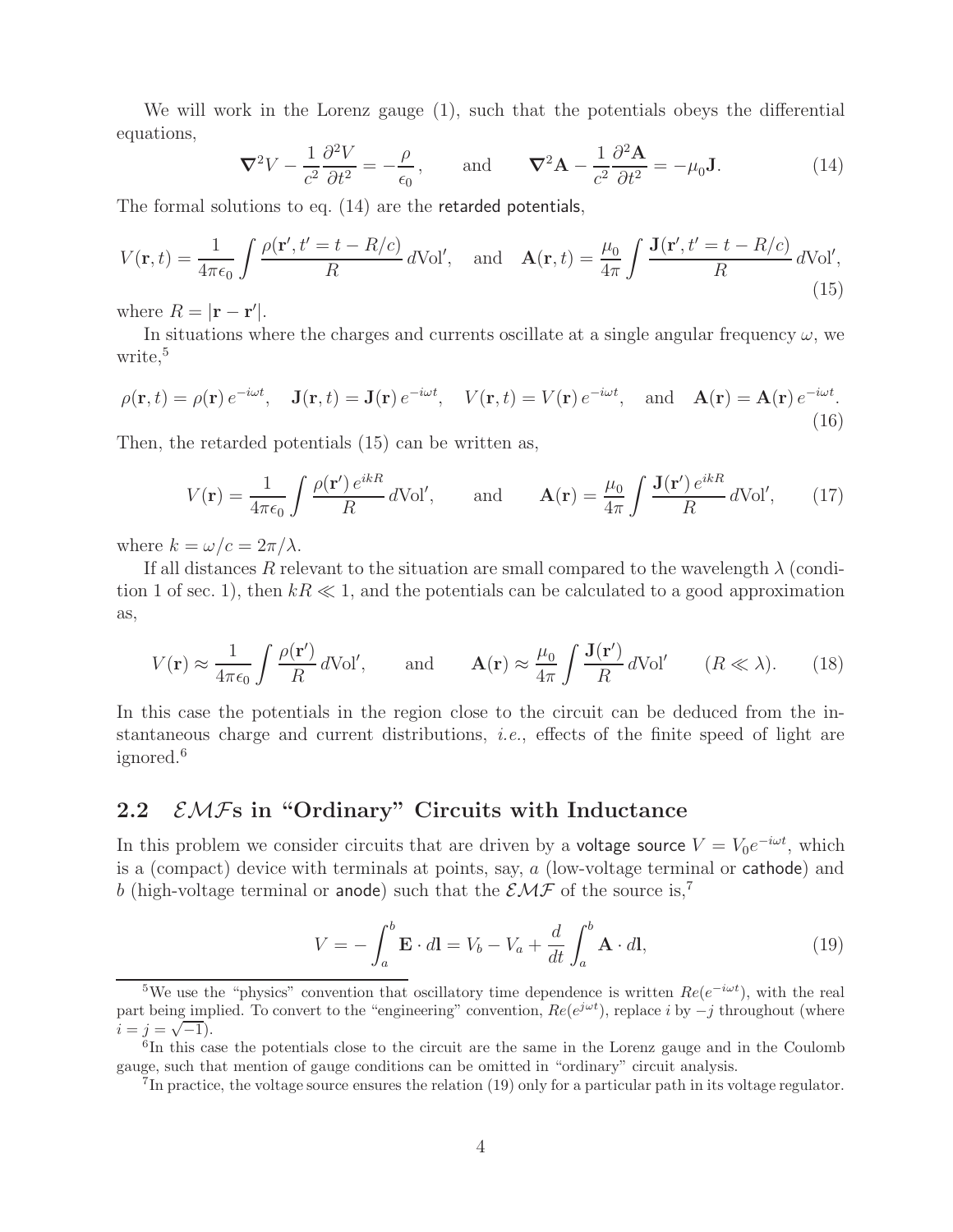We will work in the Lorenz gauge (1), such that the potentials obeys the differential equations,

$$
\nabla^2 V - \frac{1}{c^2} \frac{\partial^2 V}{\partial t^2} = -\frac{\rho}{\epsilon_0}, \quad \text{and} \quad \nabla^2 \mathbf{A} - \frac{1}{c^2} \frac{\partial^2 \mathbf{A}}{\partial t^2} = -\mu_0 \mathbf{J}.
$$
 (14)

The formal solutions to eq. (14) are the retarded potentials,

$$
V(\mathbf{r},t) = \frac{1}{4\pi\epsilon_0} \int \frac{\rho(\mathbf{r}',t'=t-R/c)}{R} d\text{Vol}', \quad \text{and} \quad \mathbf{A}(\mathbf{r},t) = \frac{\mu_0}{4\pi} \int \frac{\mathbf{J}(\mathbf{r}',t'=t-R/c)}{R} d\text{Vol}', \tag{15}
$$

where  $R = |\mathbf{r} - \mathbf{r}'|$ .

In situations where the charges and currents oscillate at a single angular frequency  $\omega$ , we write,<sup>5</sup>

$$
\rho(\mathbf{r},t) = \rho(\mathbf{r}) e^{-i\omega t}, \quad \mathbf{J}(\mathbf{r},t) = \mathbf{J}(\mathbf{r}) e^{-i\omega t}, \quad V(\mathbf{r},t) = V(\mathbf{r}) e^{-i\omega t}, \quad \text{and} \quad \mathbf{A}(\mathbf{r}) = \mathbf{A}(\mathbf{r}) e^{-i\omega t}.
$$
\n(16)

Then, the retarded potentials (15) can be written as,

$$
V(\mathbf{r}) = \frac{1}{4\pi\epsilon_0} \int \frac{\rho(\mathbf{r}') e^{ikR}}{R} d\text{Vol}', \quad \text{and} \quad \mathbf{A}(\mathbf{r}) = \frac{\mu_0}{4\pi} \int \frac{\mathbf{J}(\mathbf{r}') e^{ikR}}{R} d\text{Vol}', \quad (17)
$$

where  $k = \omega/c = 2\pi/\lambda$ .

If all distances R relevant to the situation are small compared to the wavelength  $\lambda$  (condition 1 of sec. 1), then  $kR \ll 1$ , and the potentials can be calculated to a good approximation as,

$$
V(\mathbf{r}) \approx \frac{1}{4\pi\epsilon_0} \int \frac{\rho(\mathbf{r}')}{R} d\text{Vol}', \quad \text{and} \quad \mathbf{A}(\mathbf{r}) \approx \frac{\mu_0}{4\pi} \int \frac{\mathbf{J}(\mathbf{r}')}{R} d\text{Vol}' \quad (R \ll \lambda). \tag{18}
$$

In this case the potentials in the region close to the circuit can be deduced from the instantaneous charge and current distributions, *i.e.*, effects of the finite speed of light are ignored.<sup>6</sup>

## **2.2** EMF**s in "Ordinary" Circuits with Inductance**

In this problem we consider circuits that are driven by a voltage source  $V = V_0 e^{-i\omega t}$ , which is a (compact) device with terminals at points, say, a (low-voltage terminal or cathode) and b (high-voltage terminal or anode) such that the  $\mathcal{EMF}$  of the source is,<sup>7</sup>

$$
V = -\int_{a}^{b} \mathbf{E} \cdot d\mathbf{l} = V_b - V_a + \frac{d}{dt} \int_{a}^{b} \mathbf{A} \cdot d\mathbf{l}, \qquad (19)
$$

<sup>&</sup>lt;sup>5</sup>We use the "physics" convention that oscillatory time dependence is written  $Re(e^{-i\omega t})$ , with the real part being implied. To convert to the "engineering" convention,  $Re(e^{j\omega t})$ , replace i by  $-j$  throughout (where  $i = j = \sqrt{-1}$ .

 ${}^{6}$ In this case the potentials close to the circuit are the same in the Lorenz gauge and in the Coulomb gauge, such that mention of gauge conditions can be omitted in "ordinary" circuit analysis.

 $7\text{In practice, the voltage source ensures the relation (19) only for a particular path in its voltage regulator.}$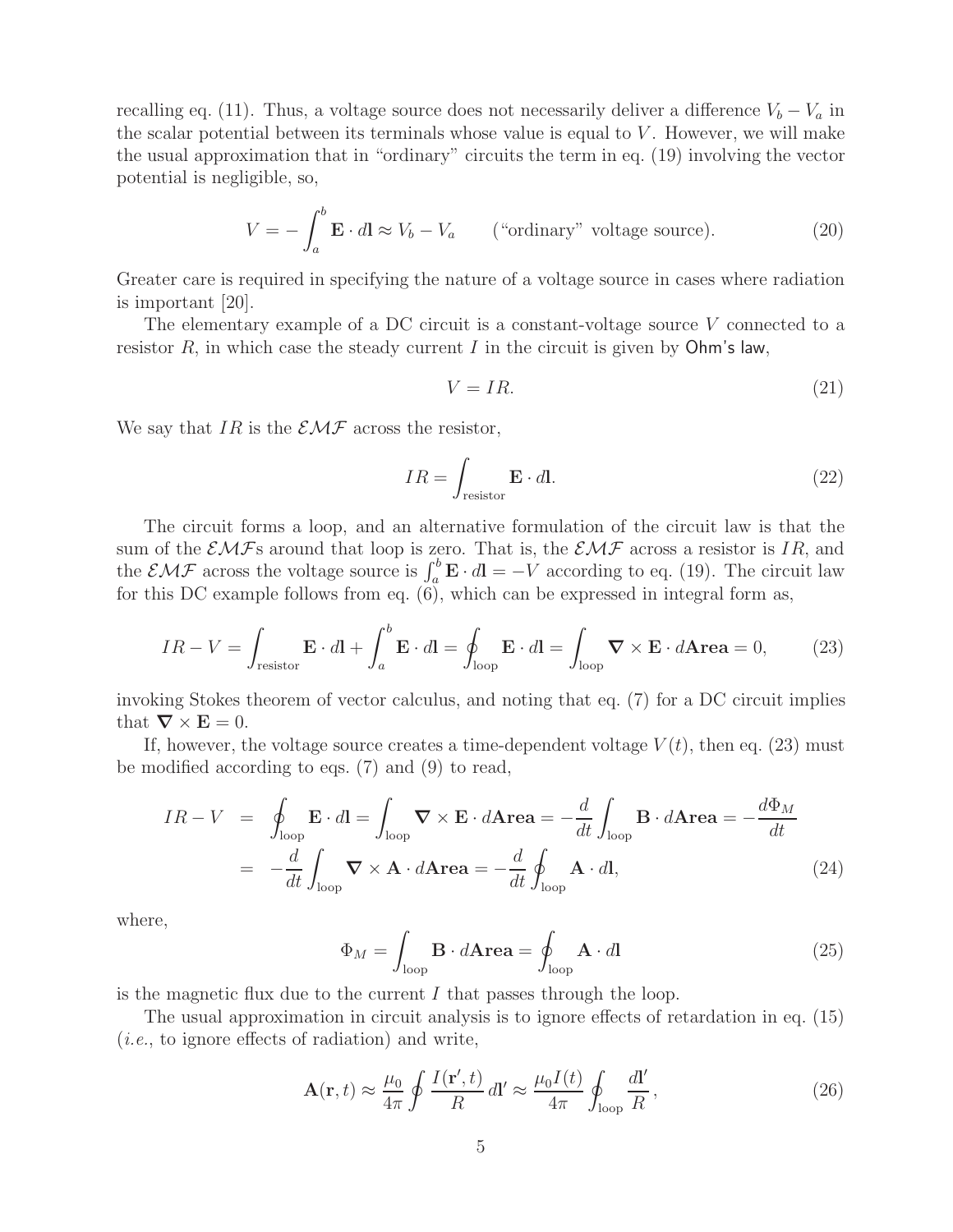recalling eq. (11). Thus, a voltage source does not necessarily deliver a difference  $V_b - V_a$  in the scalar potential between its terminals whose value is equal to  $V$ . However, we will make the usual approximation that in "ordinary" circuits the term in eq. (19) involving the vector potential is negligible, so,

$$
V = -\int_{a}^{b} \mathbf{E} \cdot d\mathbf{l} \approx V_b - V_a \qquad \text{("ordinary" voltage source)}.
$$
 (20)

Greater care is required in specifying the nature of a voltage source in cases where radiation is important [20].

The elementary example of a DC circuit is a constant-voltage source V connected to a resistor  $R$ , in which case the steady current  $I$  in the circuit is given by  $Ohm's law$ ,

$$
V = IR.\tag{21}
$$

We say that IR is the  $\mathcal{EMF}$  across the resistor,

$$
IR = \int_{\text{resistor}} \mathbf{E} \cdot d\mathbf{l}.\tag{22}
$$

The circuit forms a loop, and an alternative formulation of the circuit law is that the sum of the  $\mathcal{EMF}$ s around that loop is zero. That is, the  $\mathcal{EMF}$  across a resistor is IR, and the  $\mathcal{EMF}$  across the voltage source is  $\int_a^b \mathbf{E} \cdot d\mathbf{l} = -V$  according to eq. (19). The circuit law for this DC example follows from eq. (6), which can be expressed in integral form as,

$$
IR - V = \int_{\text{resistor}} \mathbf{E} \cdot d\mathbf{l} + \int_{a}^{b} \mathbf{E} \cdot d\mathbf{l} = \oint_{\text{loop}} \mathbf{E} \cdot d\mathbf{l} = \int_{\text{loop}} \nabla \times \mathbf{E} \cdot d\mathbf{Area} = 0, \tag{23}
$$

invoking Stokes theorem of vector calculus, and noting that eq. (7) for a DC circuit implies that  $\nabla \times \mathbf{E} = 0$ .

If, however, the voltage source creates a time-dependent voltage  $V(t)$ , then eq. (23) must be modified according to eqs. (7) and (9) to read,

$$
IR - V = \oint_{\text{loop}} \mathbf{E} \cdot d\mathbf{l} = \int_{\text{loop}} \nabla \times \mathbf{E} \cdot d\mathbf{Area} = -\frac{d}{dt} \int_{\text{loop}} \mathbf{B} \cdot d\mathbf{Area} = -\frac{d\Phi_M}{dt}
$$

$$
= -\frac{d}{dt} \int_{\text{loop}} \nabla \times \mathbf{A} \cdot d\mathbf{Area} = -\frac{d}{dt} \oint_{\text{loop}} \mathbf{A} \cdot d\mathbf{l}, \tag{24}
$$

where,

$$
\Phi_M = \int_{\text{loop}} \mathbf{B} \cdot d\mathbf{Area} = \oint_{\text{loop}} \mathbf{A} \cdot d\mathbf{l} \tag{25}
$$

is the magnetic flux due to the current  $I$  that passes through the loop.

The usual approximation in circuit analysis is to ignore effects of retardation in eq. (15) (*i.e.*, to ignore effects of radiation) and write,

$$
\mathbf{A}(\mathbf{r},t) \approx \frac{\mu_0}{4\pi} \oint \frac{I(\mathbf{r}',t)}{R} \, d\mathbf{l}' \approx \frac{\mu_0 I(t)}{4\pi} \oint_{\text{loop}} \frac{d\mathbf{l}'}{R} \,,\tag{26}
$$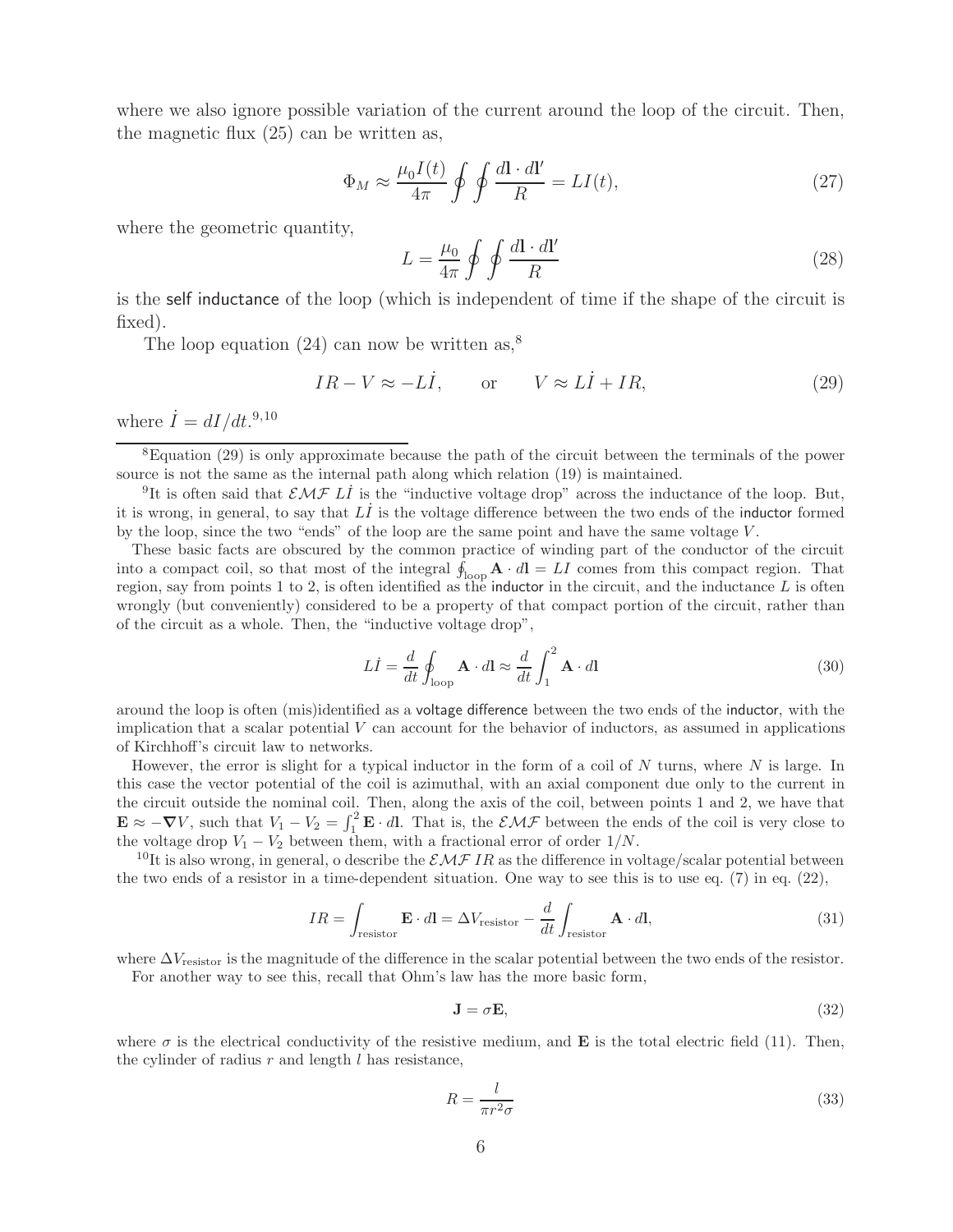where we also ignore possible variation of the current around the loop of the circuit. Then, the magnetic flux (25) can be written as,

$$
\Phi_M \approx \frac{\mu_0 I(t)}{4\pi} \oint \oint \frac{d\mathbf{l} \cdot d\mathbf{l'}}{R} = LI(t),\tag{27}
$$

where the geometric quantity,

$$
L = \frac{\mu_0}{4\pi} \oint \oint \frac{d\mathbf{l} \cdot d\mathbf{l'}}{R} \tag{28}
$$

is the self inductance of the loop (which is independent of time if the shape of the circuit is fixed).

The loop equation (24) can now be written as,<sup>8</sup>

$$
IR - V \approx -LI
$$
, or  $V \approx LI + IR$ , (29)

where  $\dot{I} = dI/dt.^{9,10}$ 

<sup>9</sup>It is often said that  $\mathcal{EMF}$  LI is the "inductive voltage drop" across the inductance of the loop. But, it is wrong, in general, to say that  $L\dot{I}$  is the voltage difference between the two ends of the inductor formed by the loop, since the two "ends" of the loop are the same point and have the same voltage  $V$ .

These basic facts are obscured by the common practice of winding part of the conductor of the circuit into a compact coil, so that most of the integral  $\oint_{\text{loop}} \mathbf{A} \cdot d\mathbf{l} = LI$  comes from this compact region. That region, say from points 1 to 2, is often identified as the inductor in the circuit, and the inductance  $L$  is often wrongly (but conveniently) considered to be a property of that compact portion of the circuit, rather than of the circuit as a whole. Then, the "inductive voltage drop",

$$
L\dot{I} = \frac{d}{dt} \oint_{\text{loop}} \mathbf{A} \cdot d\mathbf{l} \approx \frac{d}{dt} \int_{1}^{2} \mathbf{A} \cdot d\mathbf{l}
$$
 (30)

around the loop is often (mis)identified as a voltage difference between the two ends of the inductor, with the implication that a scalar potential  $V$  can account for the behavior of inductors, as assumed in applications of Kirchhoff's circuit law to networks.

However, the error is slight for a typical inductor in the form of a coil of  $N$  turns, where  $N$  is large. In this case the vector potential of the coil is azimuthal, with an axial component due only to the current in the circuit outside the nominal coil. Then, along the axis of the coil, between points 1 and 2, we have that  $\mathbf{E} \approx -\nabla V$ , such that  $V_1 - V_2 = \int_1^2 \mathbf{E} \cdot d\mathbf{l}$ . That is, the  $\mathcal{EMF}$  between the ends of the coil is very close to

the voltage drop  $V_1 - V_2$  between them, with a fractional error of order  $1/N$ .<br><sup>10</sup>It is also wrong, in general, o describe the  $\mathcal{EMF}$  IR as the difference in voltage/scalar potential between the two ends of a resistor in a time-dependent situation. One way to see this is to use eq. (7) in eq. (22),

$$
IR = \int_{\text{resistor}} \mathbf{E} \cdot d\mathbf{l} = \Delta V_{\text{resistor}} - \frac{d}{dt} \int_{\text{resistor}} \mathbf{A} \cdot d\mathbf{l},\tag{31}
$$

where  $\Delta V_{\text{resistor}}$  is the magnitude of the difference in the scalar potential between the two ends of the resistor.

For another way to see this, recall that Ohm's law has the more basic form,

$$
\mathbf{J} = \sigma \mathbf{E},\tag{32}
$$

where  $\sigma$  is the electrical conductivity of the resistive medium, and **E** is the total electric field (11). Then, the cylinder of radius  $r$  and length  $l$  has resistance,

$$
R = \frac{l}{\pi r^2 \sigma} \tag{33}
$$

<sup>8</sup>Equation (29) is only approximate because the path of the circuit between the terminals of the power source is not the same as the internal path along which relation (19) is maintained.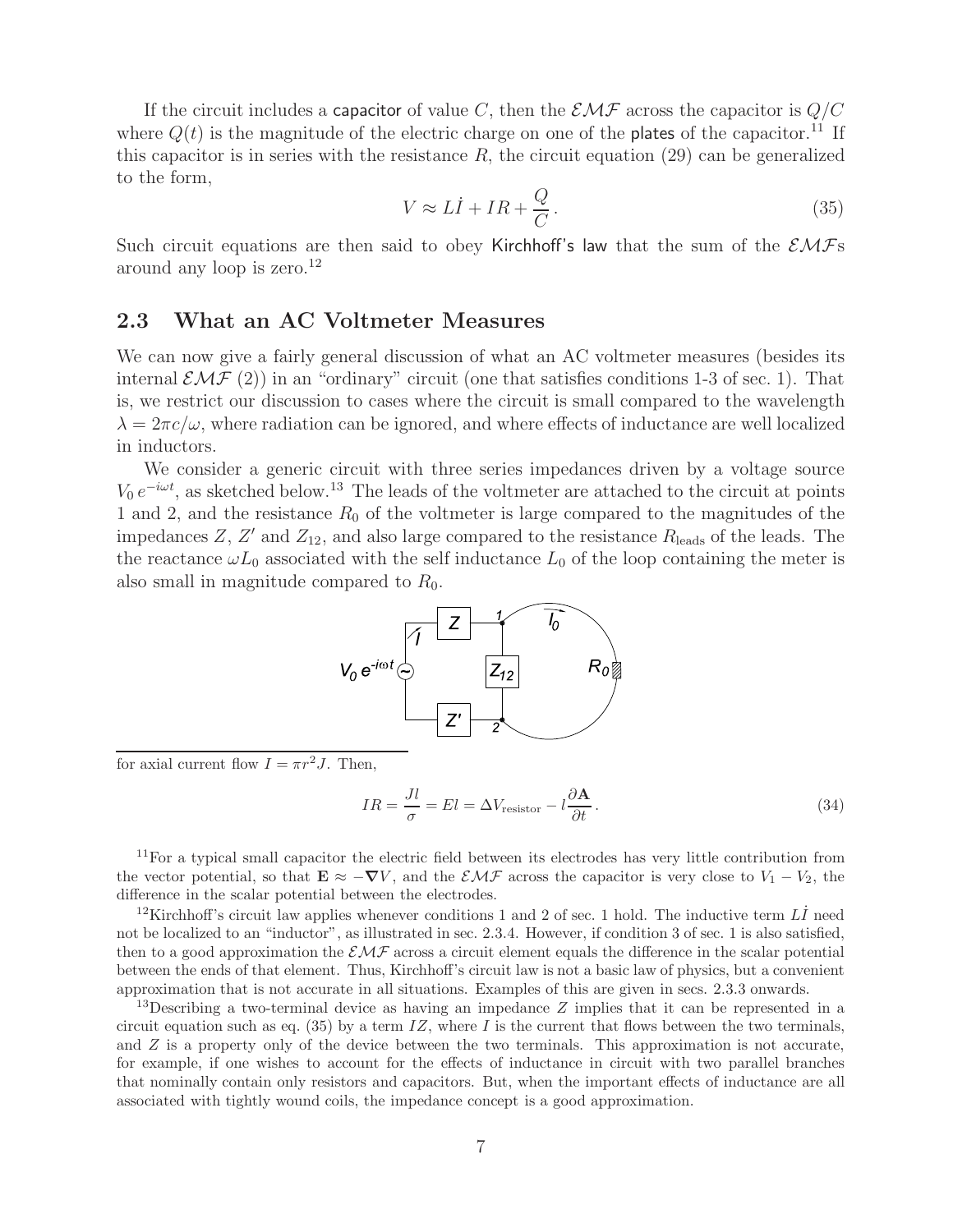If the circuit includes a capacitor of value C, then the  $\mathcal{EMF}$  across the capacitor is  $Q/C$ where  $Q(t)$  is the magnitude of the electric charge on one of the plates of the capacitor.<sup>11</sup> If this capacitor is in series with the resistance  $R$ , the circuit equation (29) can be generalized to the form,

$$
V \approx L\dot{I} + IR + \frac{Q}{C} \,. \tag{35}
$$

Such circuit equations are then said to obey Kirchhoff's law that the sum of the  $\mathcal{EMFs}$ around any loop is zero.<sup>12</sup>

### **2.3 What an AC Voltmeter Measures**

We can now give a fairly general discussion of what an AC voltmeter measures (besides its internal  $\mathcal{EMF}(2)$  in an "ordinary" circuit (one that satisfies conditions 1-3 of sec. 1). That is, we restrict our discussion to cases where the circuit is small compared to the wavelength  $\lambda = 2\pi c/\omega$ , where radiation can be ignored, and where effects of inductance are well localized in inductors.

We consider a generic circuit with three series impedances driven by a voltage source  $V_0 e^{-i\omega t}$ , as sketched below.<sup>13</sup> The leads of the voltmeter are attached to the circuit at points 1 and 2, and the resistance  $R_0$  of the voltmeter is large compared to the magnitudes of the impedances Z, Z' and  $Z_{12}$ , and also large compared to the resistance  $R_{\text{leads}}$  of the leads. The the reactance  $\omega L_0$  associated with the self inductance  $L_0$  of the loop containing the meter is also small in magnitude compared to  $R_0$ .



for axial current flow  $I = \pi r^2 J$ . Then,

$$
IR = \frac{Jl}{\sigma} = El = \Delta V_{\text{resistor}} - l \frac{\partial \mathbf{A}}{\partial t}.
$$
\n(34)

<sup>11</sup>For a typical small capacitor the electric field between its electrodes has very little contribution from the vector potential, so that  $\mathbf{E} \approx -\nabla V$ , and the  $\mathcal{EMF}$  across the capacitor is very close to  $V_1 - V_2$ , the difference in the scalar potential between the electrodes.

<sup>12</sup>Kirchhoff's circuit law applies whenever conditions 1 and 2 of sec. 1 hold. The inductive term  $L\dot{I}$  need not be localized to an "inductor", as illustrated in sec. 2.3.4. However, if condition 3 of sec. 1 is also satisfied, then to a good approximation the  $\mathcal{EMF}$  across a circuit element equals the difference in the scalar potential between the ends of that element. Thus, Kirchhoff's circuit law is not a basic law of physics, but a convenient approximation that is not accurate in all situations. Examples of this are given in secs. 2.3.3 onwards.

<sup>13</sup>Describing a two-terminal device as having an impedance  $Z$  implies that it can be represented in a circuit equation such as eq. (35) by a term  $IZ$ , where I is the current that flows between the two terminals, and Z is a property only of the device between the two terminals. This approximation is not accurate, for example, if one wishes to account for the effects of inductance in circuit with two parallel branches that nominally contain only resistors and capacitors. But, when the important effects of inductance are all associated with tightly wound coils, the impedance concept is a good approximation.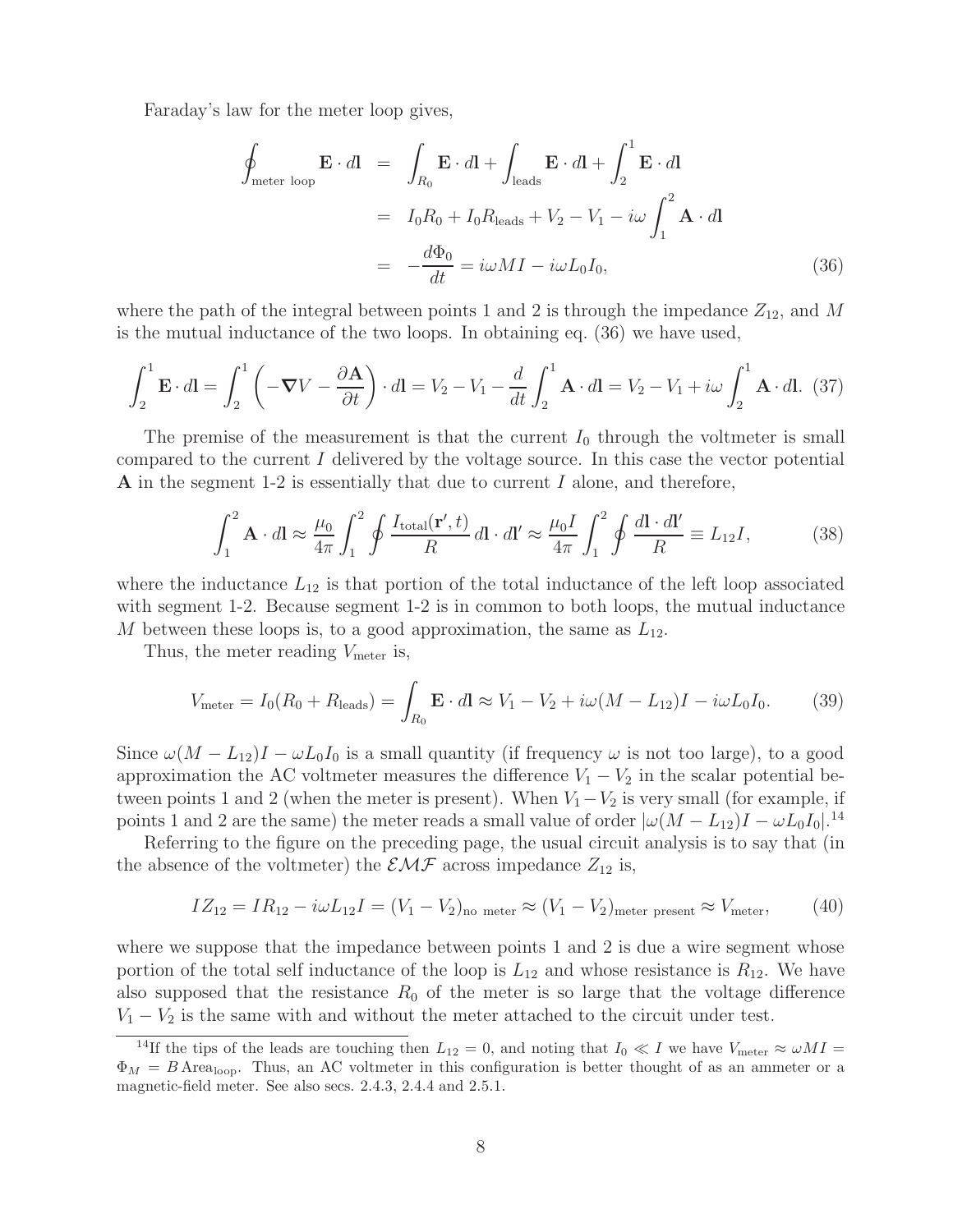Faraday's law for the meter loop gives,

$$
\oint_{\text{meter loop}} \mathbf{E} \cdot d\mathbf{l} = \int_{R_0} \mathbf{E} \cdot d\mathbf{l} + \int_{\text{leads}} \mathbf{E} \cdot d\mathbf{l} + \int_2^1 \mathbf{E} \cdot d\mathbf{l}
$$
\n
$$
= I_0 R_0 + I_0 R_{\text{leads}} + V_2 - V_1 - i\omega \int_1^2 \mathbf{A} \cdot d\mathbf{l}
$$
\n
$$
= -\frac{d\Phi_0}{dt} = i\omega M I - i\omega L_0 I_0,
$$
\n(36)

where the path of the integral between points 1 and 2 is through the impedance  $Z_{12}$ , and M is the mutual inductance of the two loops. In obtaining eq. (36) we have used,

$$
\int_{2}^{1} \mathbf{E} \cdot d\mathbf{l} = \int_{2}^{1} \left( -\nabla V - \frac{\partial \mathbf{A}}{\partial t} \right) \cdot d\mathbf{l} = V_{2} - V_{1} - \frac{d}{dt} \int_{2}^{1} \mathbf{A} \cdot d\mathbf{l} = V_{2} - V_{1} + i\omega \int_{2}^{1} \mathbf{A} \cdot d\mathbf{l}.
$$
 (37)

The premise of the measurement is that the current  $I_0$  through the voltmeter is small compared to the current I delivered by the voltage source. In this case the vector potential **A** in the segment 1-2 is essentially that due to current I alone, and therefore,

$$
\int_{1}^{2} \mathbf{A} \cdot d\mathbf{l} \approx \frac{\mu_{0}}{4\pi} \int_{1}^{2} \oint \frac{I_{\text{total}}(\mathbf{r}',t)}{R} d\mathbf{l} \cdot d\mathbf{l}' \approx \frac{\mu_{0}I}{4\pi} \int_{1}^{2} \oint \frac{d\mathbf{l} \cdot d\mathbf{l}'}{R} \equiv L_{12}I,
$$
 (38)

where the inductance  $L_{12}$  is that portion of the total inductance of the left loop associated with segment 1-2. Because segment 1-2 is in common to both loops, the mutual inductance M between these loops is, to a good approximation, the same as  $L_{12}$ .

Thus, the meter reading  $V_{\text{meter}}$  is,

$$
V_{\text{meter}} = I_0(R_0 + R_{\text{leads}}) = \int_{R_0} \mathbf{E} \cdot d\mathbf{l} \approx V_1 - V_2 + i\omega(M - L_{12})I - i\omega L_0 I_0. \tag{39}
$$

Since  $\omega(M - L_{12})I - \omega L_0I_0$  is a small quantity (if frequency  $\omega$  is not too large), to a good approximation the AC voltmeter measures the difference  $V_1 - V_2$  in the scalar potential between points 1 and 2 (when the meter is present). When  $V_1-V_2$  is very small (for example, if points 1 and 2 are the same) the meter reads a small value of order  $|\omega(M - L_{12})I - \omega L_0 I_0|$ .<sup>14</sup>

Referring to the figure on the preceding page, the usual circuit analysis is to say that (in the absence of the voltmeter) the  $\mathcal{EMF}$  across impedance  $Z_{12}$  is,

$$
IZ_{12} = IR_{12} - i\omega L_{12}I = (V_1 - V_2)_{\text{no meter}} \approx (V_1 - V_2)_{\text{meter present}} \approx V_{\text{meter}}, \tag{40}
$$

where we suppose that the impedance between points 1 and 2 is due a wire segment whose portion of the total self inductance of the loop is  $L_{12}$  and whose resistance is  $R_{12}$ . We have also supposed that the resistance  $R_0$  of the meter is so large that the voltage difference  $V_1 - V_2$  is the same with and without the meter attached to the circuit under test.

<sup>&</sup>lt;sup>14</sup>If the tips of the leads are touching then  $L_{12} = 0$ , and noting that  $I_0 \ll I$  we have  $V_{\text{meter}} \approx \omega M I =$  $\Phi_M = B$  Area<sub>loop</sub>. Thus, an AC voltmeter in this configuration is better thought of as an ammeter or a magnetic-field meter. See also secs. 2.4.3, 2.4.4 and 2.5.1.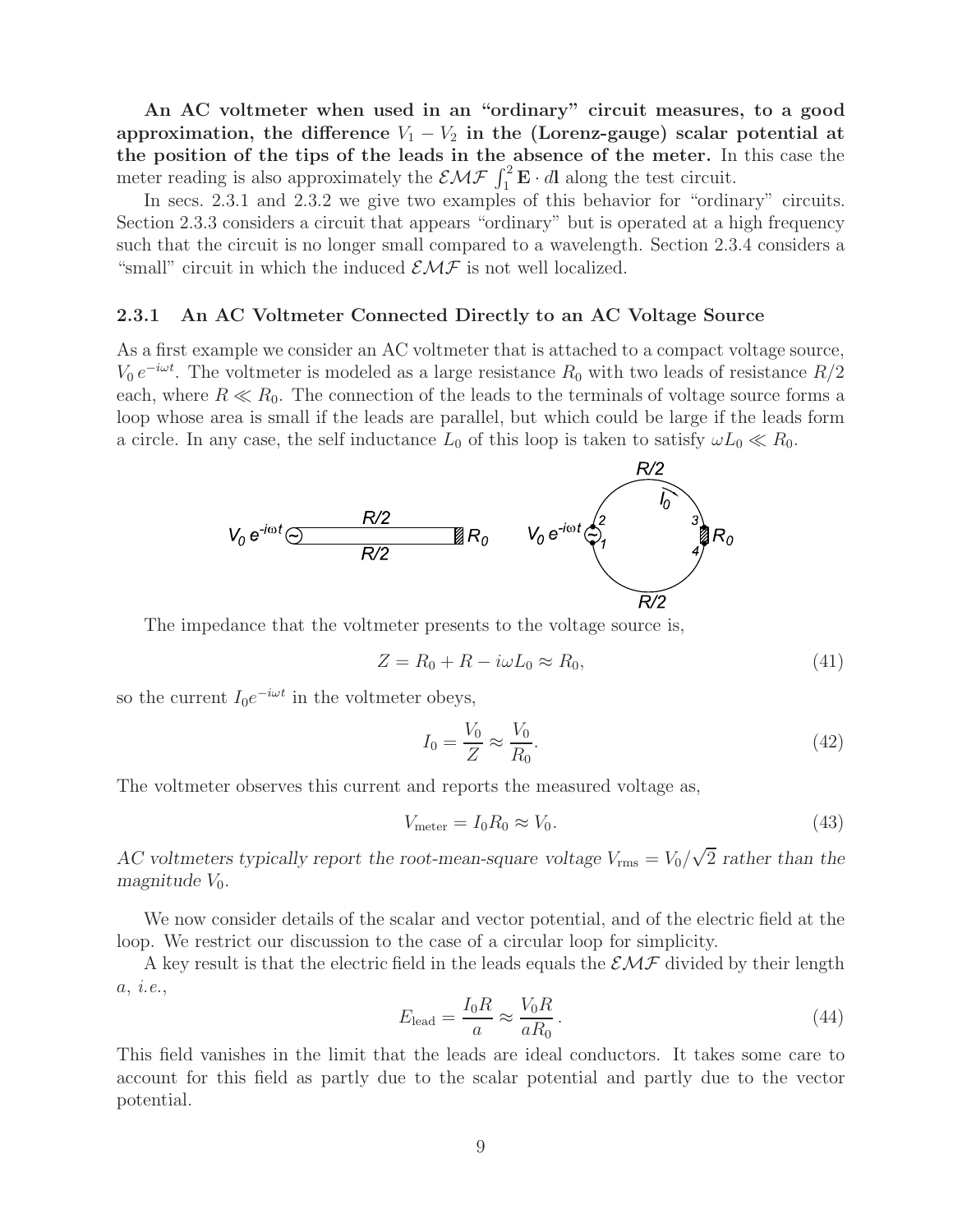**An AC voltmeter when used in an "ordinary" circuit measures, to a good** approximation, the difference  $V_1 - V_2$  in the (Lorenz-gauge) scalar potential at **the position of the tips of the leads in the absence of the meter.** In this case the meter reading is also approximately the  $EMF \int_1^2 \mathbf{E} \cdot d\mathbf{l}$  along the test circuit.

In secs. 2.3.1 and 2.3.2 we give two examples of this behavior for "ordinary" circuits. Section 2.3.3 considers a circuit that appears "ordinary" but is operated at a high frequency such that the circuit is no longer small compared to a wavelength. Section 2.3.4 considers a "small" circuit in which the induced  $\mathcal{EMF}$  is not well localized.

#### **2.3.1 An AC Voltmeter Connected Directly to an AC Voltage Source**

As a first example we consider an AC voltmeter that is attached to a compact voltage source,  $V_0 e^{-i\omega t}$ . The voltmeter is modeled as a large resistance  $R_0$  with two leads of resistance  $R/2$ each, where  $R \ll R_0$ . The connection of the leads to the terminals of voltage source forms a loop whose area is small if the leads are parallel, but which could be large if the leads form a circle. In any case, the self inductance  $L_0$  of this loop is taken to satisfy  $\omega L_0 \ll R_0$ .



The impedance that the voltmeter presents to the voltage source is,

$$
Z = R_0 + R - i\omega L_0 \approx R_0, \tag{41}
$$

so the current  $I_0e^{-i\omega t}$  in the voltmeter obeys,

$$
I_0 = \frac{V_0}{Z} \approx \frac{V_0}{R_0}.\tag{42}
$$

The voltmeter observes this current and reports the measured voltage as,

$$
V_{\text{meter}} = I_0 R_0 \approx V_0. \tag{43}
$$

*AC voltmeters typically report the root-mean-square voltage*  $V_{\text{rms}} = V_0 / \sqrt{2}$  *rather than the magnitude*  $V_0$ *.* 

We now consider details of the scalar and vector potential, and of the electric field at the loop. We restrict our discussion to the case of a circular loop for simplicity.

A key result is that the electric field in the leads equals the  $\mathcal{EMF}$  divided by their length a, *i.e.*,

$$
E_{\text{lead}} = \frac{I_0 R}{a} \approx \frac{V_0 R}{a R_0} \,. \tag{44}
$$

This field vanishes in the limit that the leads are ideal conductors. It takes some care to account for this field as partly due to the scalar potential and partly due to the vector potential.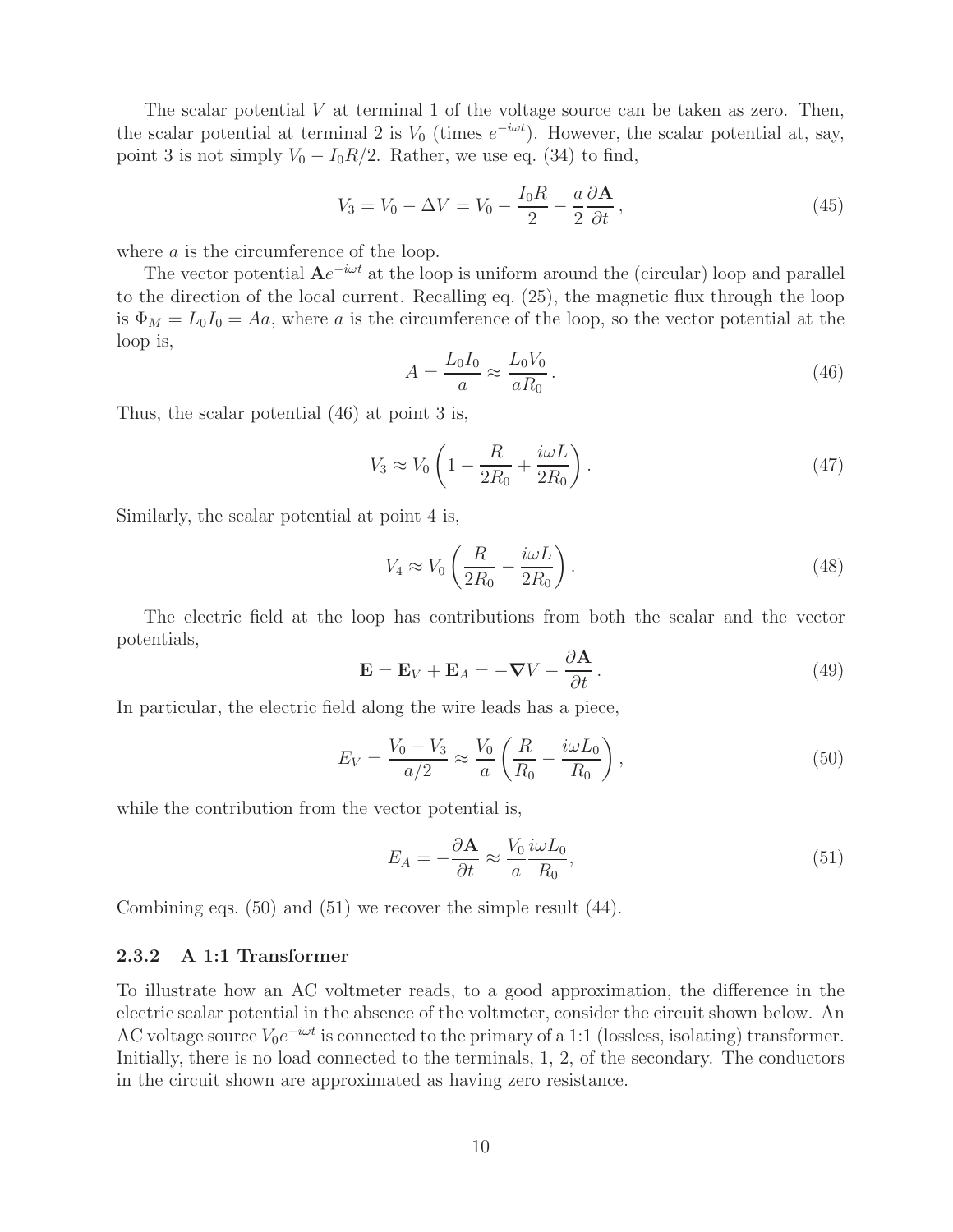The scalar potential  $V$  at terminal 1 of the voltage source can be taken as zero. Then, the scalar potential at terminal 2 is  $V_0$  (times  $e^{-i\omega t}$ ). However, the scalar potential at, say, point 3 is not simply  $V_0 - I_0 R/2$ . Rather, we use eq. (34) to find,

$$
V_3 = V_0 - \Delta V = V_0 - \frac{I_0 R}{2} - \frac{a}{2} \frac{\partial \mathbf{A}}{\partial t},\tag{45}
$$

where *a* is the circumference of the loop.

The vector potential  $Ae^{-i\omega t}$  at the loop is uniform around the (circular) loop and parallel to the direction of the local current. Recalling eq. (25), the magnetic flux through the loop is  $\Phi_M = L_0 I_0 = Aa$ , where a is the circumference of the loop, so the vector potential at the loop is,

$$
A = \frac{L_0 I_0}{a} \approx \frac{L_0 V_0}{a R_0} \,. \tag{46}
$$

Thus, the scalar potential (46) at point 3 is,

$$
V_3 \approx V_0 \left( 1 - \frac{R}{2R_0} + \frac{i\omega L}{2R_0} \right). \tag{47}
$$

Similarly, the scalar potential at point 4 is,

$$
V_4 \approx V_0 \left(\frac{R}{2R_0} - \frac{i\omega L}{2R_0}\right). \tag{48}
$$

The electric field at the loop has contributions from both the scalar and the vector potentials,

$$
\mathbf{E} = \mathbf{E}_V + \mathbf{E}_A = -\nabla V - \frac{\partial \mathbf{A}}{\partial t}.
$$
 (49)

In particular, the electric field along the wire leads has a piece,

$$
E_V = \frac{V_0 - V_3}{a/2} \approx \frac{V_0}{a} \left( \frac{R}{R_0} - \frac{i\omega L_0}{R_0} \right),\tag{50}
$$

while the contribution from the vector potential is,

$$
E_A = -\frac{\partial \mathbf{A}}{\partial t} \approx \frac{V_0}{a} \frac{i\omega L_0}{R_0},\tag{51}
$$

Combining eqs. (50) and (51) we recover the simple result (44).

#### **2.3.2 A 1:1 Transformer**

To illustrate how an AC voltmeter reads, to a good approximation, the difference in the electric scalar potential in the absence of the voltmeter, consider the circuit shown below. An AC voltage source  $V_0e^{-i\omega t}$  is connected to the primary of a 1:1 (lossless, isolating) transformer. Initially, there is no load connected to the terminals, 1, 2, of the secondary. The conductors in the circuit shown are approximated as having zero resistance.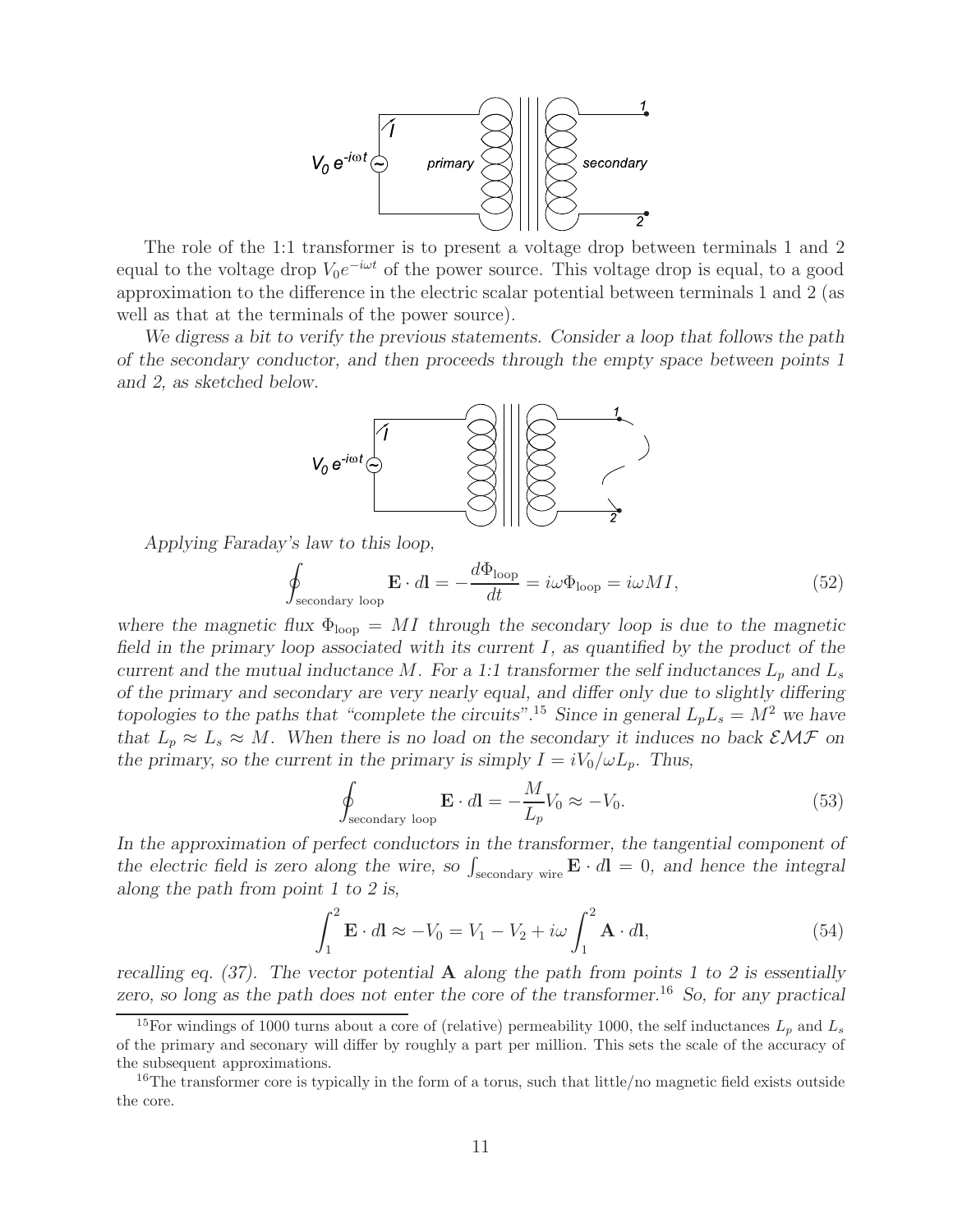

The role of the 1:1 transformer is to present a voltage drop between terminals 1 and 2 equal to the voltage drop  $V_0e^{-i\omega t}$  of the power source. This voltage drop is equal, to a good approximation to the difference in the electric scalar potential between terminals 1 and 2 (as well as that at the terminals of the power source).

*We digress a bit to verify the previous statements. Consider a loop that follows the path of the secondary conductor, and then proceeds through the empty space between points 1 and 2, as sketched below.*



*Applying Faraday's law to this loop,*

$$
\oint_{\text{secondary loop}} \mathbf{E} \cdot d\mathbf{l} = -\frac{d\Phi_{\text{loop}}}{dt} = i\omega \Phi_{\text{loop}} = i\omega M I,\tag{52}
$$

where the magnetic flux  $\Phi_{\text{loop}} = MI$  through the secondary loop is due to the magnetic *field in the primary loop associated with its current* I*, as quantified by the product of the current and the mutual inductance* M. For a 1:1 transformer the self inductances  $L_p$  and  $L_s$ *of the primary and secondary are very nearly equal, and differ only due to slightly differing topologies to the paths that "complete the circuits".*<sup>15</sup> *Since in general*  $L_pL_s = M^2$  *we have that*  $L_p \approx L_s \approx M$ . When there is no load on the secondary it induces no back  $\mathcal{EMF}$  on *the primary, so the current in the primary is simply*  $I = iV_0/\omega L_p$ . Thus,

$$
\oint_{\text{secondary loop}} \mathbf{E} \cdot d\mathbf{l} = -\frac{M}{L_p} V_0 \approx -V_0.
$$
\n(53)

*In the approximation of perfect conductors in the transformer, the tangential component of* the electric field is zero along the wire, so  $\int_{\text{secondary wire}} \mathbf{E} \cdot d\mathbf{l} = 0$ , and hence the integral *along the path from point 1 to 2 is,*

$$
\int_{1}^{2} \mathbf{E} \cdot d\mathbf{l} \approx -V_0 = V_1 - V_2 + i\omega \int_{1}^{2} \mathbf{A} \cdot d\mathbf{l},
$$
\n(54)

*recalling eq. (37). The vector potential* **A** *along the path from points 1 to 2 is essentially zero, so long as the path does not enter the core of the transformer.*<sup>16</sup> *So, for any practical*

<sup>&</sup>lt;sup>15</sup>For windings of 1000 turns about a core of (relative) permeability 1000, the self inductances  $L_p$  and  $L_s$ of the primary and seconary will differ by roughly a part per million. This sets the scale of the accuracy of the subsequent approximations.

<sup>&</sup>lt;sup>16</sup>The transformer core is typically in the form of a torus, such that little/no magnetic field exists outside the core.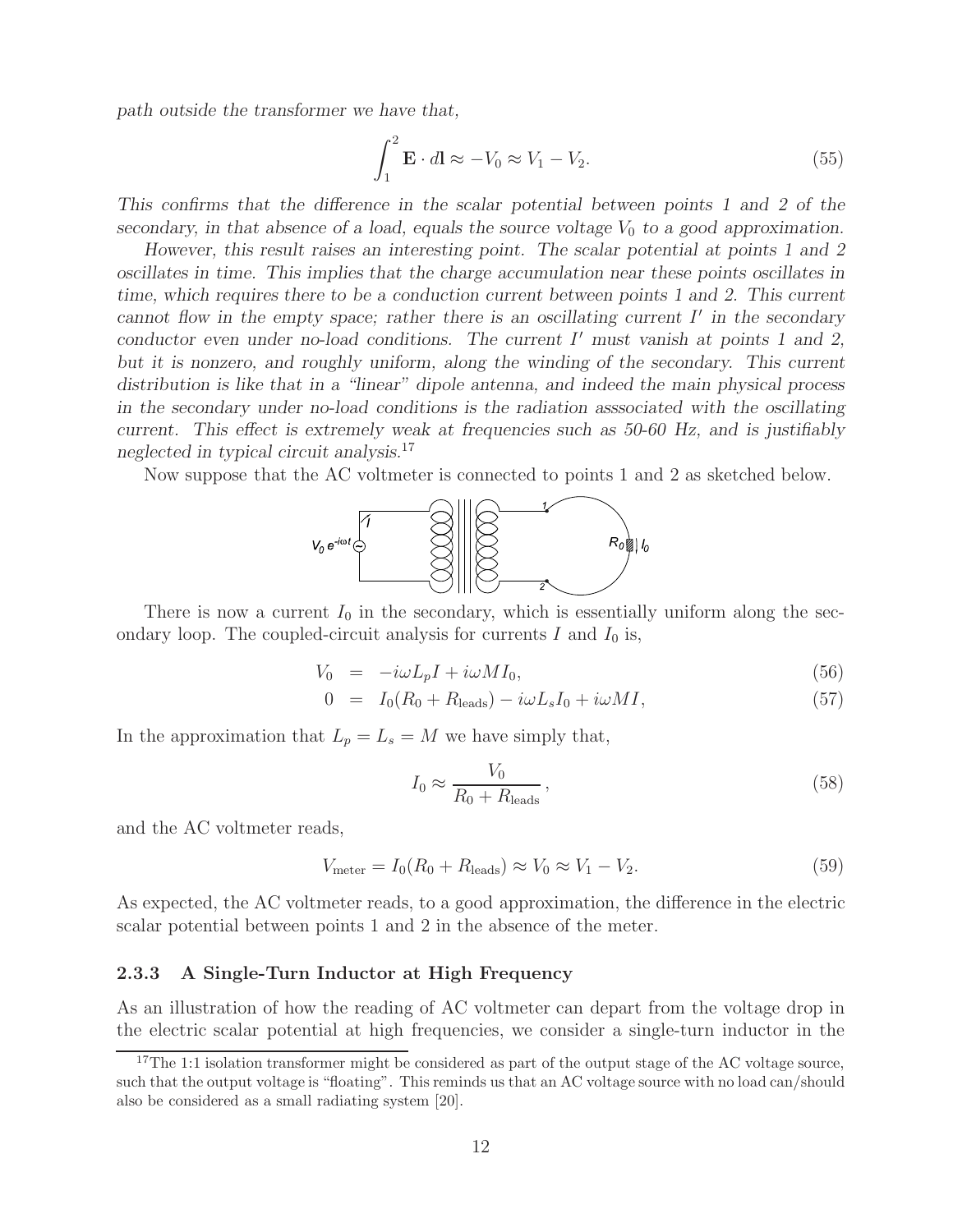*path outside the transformer we have that,*

$$
\int_{1}^{2} \mathbf{E} \cdot d\mathbf{l} \approx -V_0 \approx V_1 - V_2. \tag{55}
$$

*This confirms that the difference in the scalar potential between points 1 and 2 of the secondary, in that absence of a load, equals the source voltage*  $V_0$  *to a good approximation.* 

*However, this result raises an interesting point. The scalar potential at points 1 and 2 oscillates in time. This implies that the charge accumulation near these points oscillates in time, which requires there to be a conduction current between points 1 and 2. This current cannot flow in the empty space; rather there is an oscillating current* I' in the secondary *conductor even under no-load conditions. The current* I' must vanish at points 1 and 2, *but it is nonzero, and roughly uniform, along the winding of the secondary. This current distribution is like that in a "linear" dipole antenna, and indeed the main physical process in the secondary under no-load conditions is the radiation asssociated with the oscillating current. This effect is extremely weak at frequencies such as 50-60 Hz, and is justifiably neglected in typical circuit analysis.*<sup>17</sup>

Now suppose that the AC voltmeter is connected to points 1 and 2 as sketched below.



There is now a current  $I_0$  in the secondary, which is essentially uniform along the secondary loop. The coupled-circuit analysis for currents  $I$  and  $I_0$  is,

$$
V_0 = -i\omega L_p I + i\omega M I_0, \qquad (56)
$$

$$
0 = I_0(R_0 + R_{\text{leads}}) - i\omega L_s I_0 + i\omega M I,
$$
\n(57)

In the approximation that  $L_p = L_s = M$  we have simply that,

$$
I_0 \approx \frac{V_0}{R_0 + R_{\text{leads}}},\tag{58}
$$

and the AC voltmeter reads,

$$
V_{\text{meter}} = I_0 (R_0 + R_{\text{leads}}) \approx V_0 \approx V_1 - V_2. \tag{59}
$$

As expected, the AC voltmeter reads, to a good approximation, the difference in the electric scalar potential between points 1 and 2 in the absence of the meter.

#### **2.3.3 A Single-Turn Inductor at High Frequency**

As an illustration of how the reading of AC voltmeter can depart from the voltage drop in the electric scalar potential at high frequencies, we consider a single-turn inductor in the

<sup>&</sup>lt;sup>17</sup>The 1:1 isolation transformer might be considered as part of the output stage of the AC voltage source, such that the output voltage is "floating". This reminds us that an AC voltage source with no load can/should also be considered as a small radiating system [20].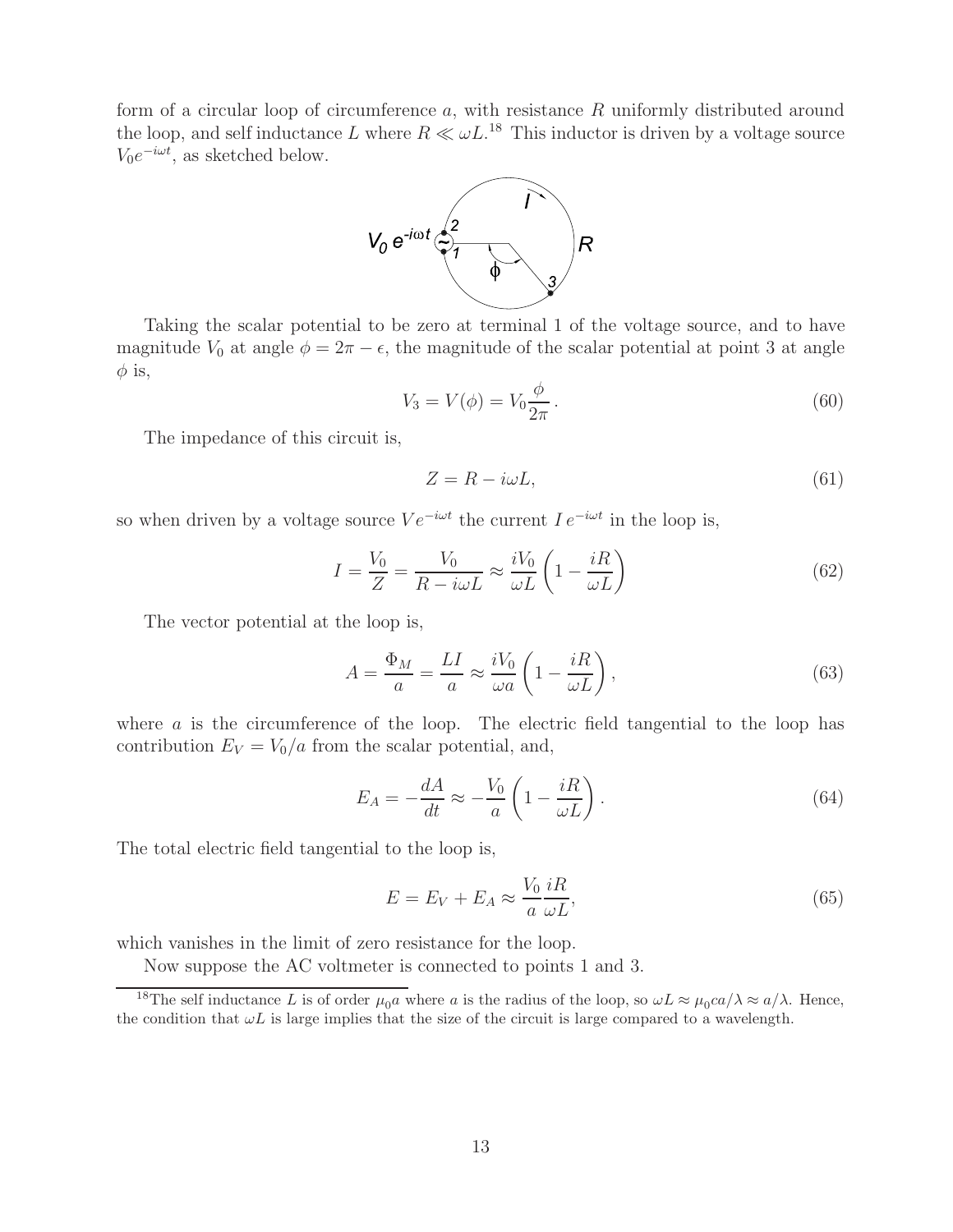form of a circular loop of circumference a, with resistance R uniformly distributed around the loop, and self inductance L where  $R \ll \omega L^{18}$  This inductor is driven by a voltage source  $V_0e^{-i\omega t}$ , as sketched below.



Taking the scalar potential to be zero at terminal 1 of the voltage source, and to have magnitude  $V_0$  at angle  $\phi = 2\pi - \epsilon$ , the magnitude of the scalar potential at point 3 at angle  $\phi$  is,

$$
V_3 = V(\phi) = V_0 \frac{\phi}{2\pi}.
$$
\n
$$
(60)
$$

The impedance of this circuit is,

$$
Z = R - i\omega L,\tag{61}
$$

so when driven by a voltage source  $Ve^{-i\omega t}$  the current  $I e^{-i\omega t}$  in the loop is,

$$
I = \frac{V_0}{Z} = \frac{V_0}{R - i\omega L} \approx \frac{iV_0}{\omega L} \left( 1 - \frac{iR}{\omega L} \right)
$$
(62)

The vector potential at the loop is,

$$
A = \frac{\Phi_M}{a} = \frac{LI}{a} \approx \frac{iV_0}{\omega a} \left( 1 - \frac{iR}{\omega L} \right),\tag{63}
$$

where a is the circumference of the loop. The electric field tangential to the loop has contribution  $E_V = V_0/a$  from the scalar potential, and,

$$
E_A = -\frac{dA}{dt} \approx -\frac{V_0}{a} \left( 1 - \frac{iR}{\omega L} \right). \tag{64}
$$

The total electric field tangential to the loop is,

$$
E = E_V + E_A \approx \frac{V_0}{a} \frac{iR}{\omega L},\tag{65}
$$

which vanishes in the limit of zero resistance for the loop.

Now suppose the AC voltmeter is connected to points 1 and 3.

<sup>&</sup>lt;sup>18</sup>The self inductance L is of order  $\mu_0 a$  where a is the radius of the loop, so  $\omega L \approx \mu_0 ca/\lambda \approx a/\lambda$ . Hence, the condition that  $\omega L$  is large implies that the size of the circuit is large compared to a wavelength.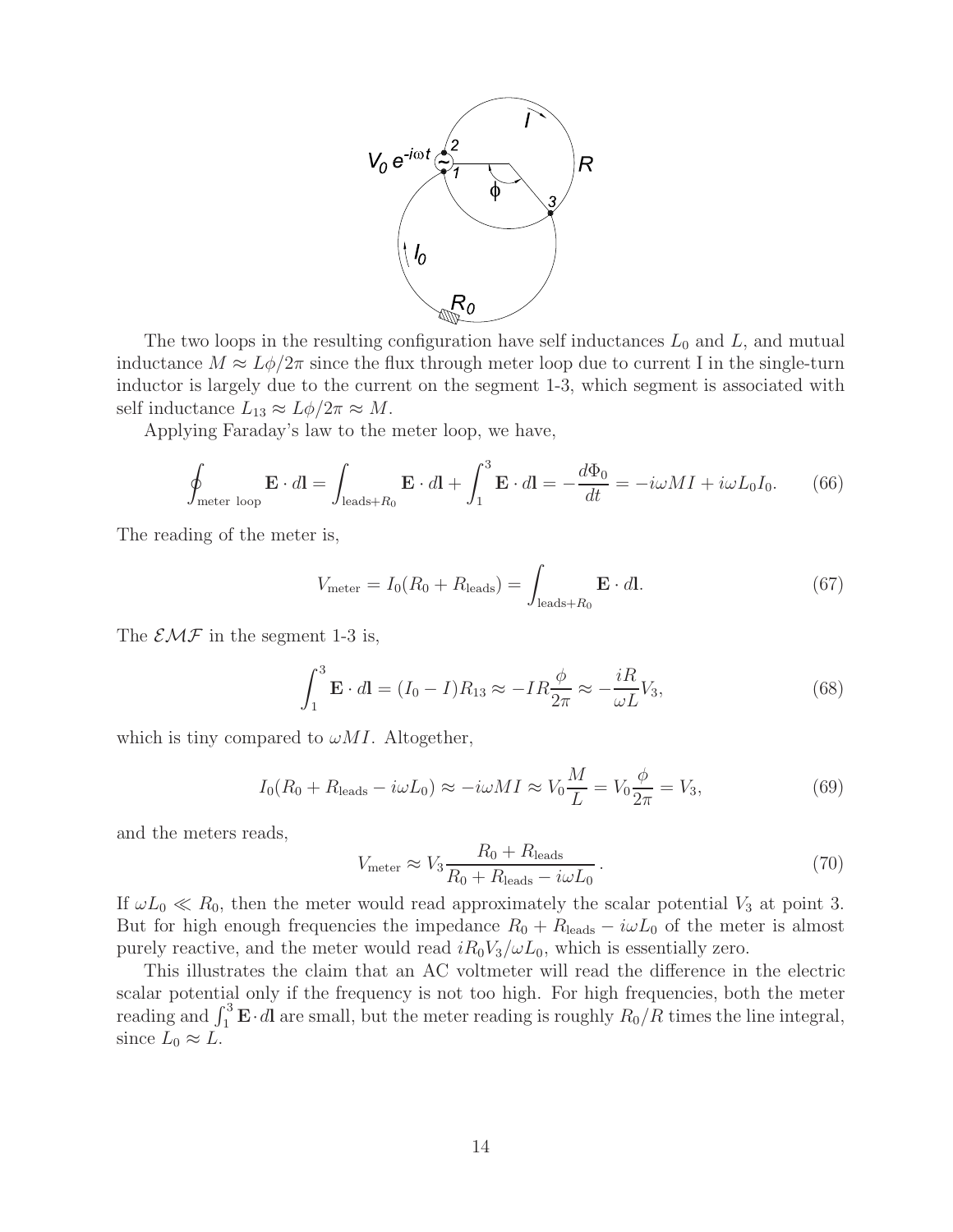

The two loops in the resulting configuration have self inductances  $L_0$  and  $L$ , and mutual inductance  $M \approx L\phi/2\pi$  since the flux through meter loop due to current I in the single-turn inductor is largely due to the current on the segment 1-3, which segment is associated with self inductance  $L_{13} \approx L\phi/2\pi \approx M$ .

Applying Faraday's law to the meter loop, we have,

$$
\oint_{\text{meter loop}} \mathbf{E} \cdot d\mathbf{l} = \int_{\text{leads}+R_0} \mathbf{E} \cdot d\mathbf{l} + \int_1^3 \mathbf{E} \cdot d\mathbf{l} = -\frac{d\Phi_0}{dt} = -i\omega M I + i\omega L_0 I_0. \tag{66}
$$

The reading of the meter is,

$$
V_{\text{meter}} = I_0 (R_0 + R_{\text{leads}}) = \int_{\text{leads} + R_0} \mathbf{E} \cdot d\mathbf{l}.
$$
 (67)

The  $\mathcal{EMF}$  in the segment 1-3 is,

$$
\int_{1}^{3} \mathbf{E} \cdot d\mathbf{l} = (I_0 - I)R_{13} \approx -IR\frac{\phi}{2\pi} \approx -\frac{iR}{\omega L}V_3,\tag{68}
$$

which is tiny compared to  $\omega M I$ . Altogether,

$$
I_0(R_0 + R_{\text{leads}} - i\omega L_0) \approx -i\omega M I \approx V_0 \frac{M}{L} = V_0 \frac{\phi}{2\pi} = V_3,\tag{69}
$$

and the meters reads,

$$
V_{\text{meter}} \approx V_3 \frac{R_0 + R_{\text{leads}}}{R_0 + R_{\text{leads}} - i\omega L_0} \,. \tag{70}
$$

If  $\omega L_0 \ll R_0$ , then the meter would read approximately the scalar potential  $V_3$  at point 3. But for high enough frequencies the impedance  $R_0 + R_{\text{leads}} - i\omega L_0$  of the meter is almost purely reactive, and the meter would read  $iR_0V_3/\omega L_0$ , which is essentially zero.

This illustrates the claim that an AC voltmeter will read the difference in the electric scalar potential only if the frequency is not too high. For high frequencies, both the meter reading and  $\int_1^3 \mathbf{E} \cdot d\mathbf{l}$  are small, but the meter reading is roughly  $R_0/R$  times the line integral, since  $L_0 \approx L$ .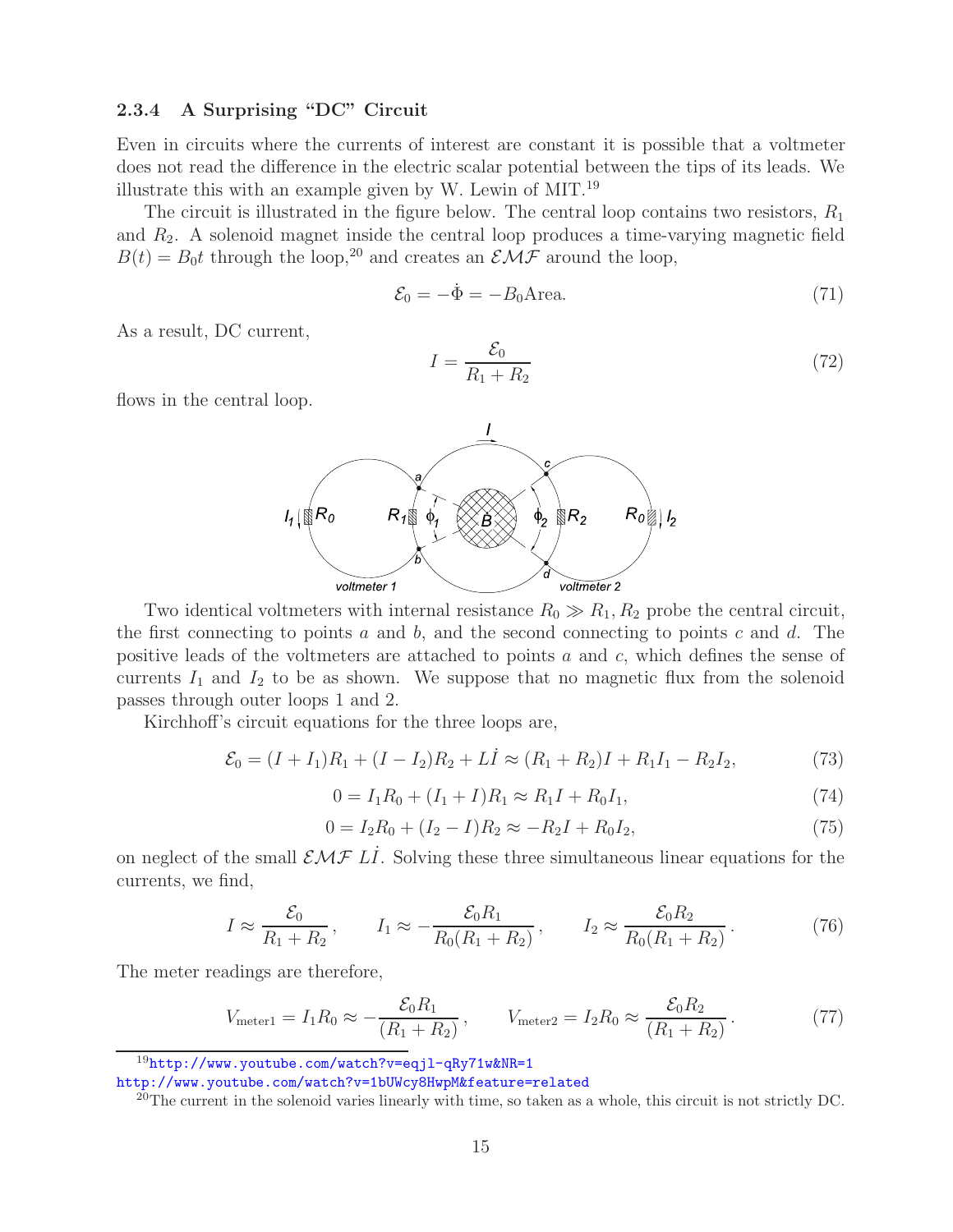### **2.3.4 A Surprising "DC" Circuit**

Even in circuits where the currents of interest are constant it is possible that a voltmeter does not read the difference in the electric scalar potential between the tips of its leads. We illustrate this with an example given by W. Lewin of MIT.<sup>19</sup>

The circuit is illustrated in the figure below. The central loop contains two resistors,  $R_1$ and  $R_2$ . A solenoid magnet inside the central loop produces a time-varying magnetic field  $B(t) = B_0 t$  through the loop,<sup>20</sup> and creates an  $\mathcal{EMF}$  around the loop,

$$
\mathcal{E}_0 = -\dot{\Phi} = -B_0 \text{Area.} \tag{71}
$$

As a result, DC current,

$$
I = \frac{\mathcal{E}_0}{R_1 + R_2} \tag{72}
$$

flows in the central loop.



Two identical voltmeters with internal resistance  $R_0 \gg R_1, R_2$  probe the central circuit, the first connecting to points  $a$  and  $b$ , and the second connecting to points  $c$  and  $d$ . The positive leads of the voltmeters are attached to points a and c, which defines the sense of currents  $I_1$  and  $I_2$  to be as shown. We suppose that no magnetic flux from the solenoid passes through outer loops 1 and 2.

Kirchhoff's circuit equations for the three loops are,

$$
\mathcal{E}_0 = (I + I_1)R_1 + (I - I_2)R_2 + L\dot{I} \approx (R_1 + R_2)I + R_1I_1 - R_2I_2,\tag{73}
$$

$$
0 = I_1 R_0 + (I_1 + I)R_1 \approx R_1 I + R_0 I_1,\tag{74}
$$

$$
0 = I_2 R_0 + (I_2 - I)R_2 \approx -R_2 I + R_0 I_2,
$$
\n(75)

on neglect of the small  $\mathcal{EMF}$  LI. Solving these three simultaneous linear equations for the currents, we find,

$$
I \approx \frac{\mathcal{E}_0}{R_1 + R_2}
$$
,  $I_1 \approx -\frac{\mathcal{E}_0 R_1}{R_0 (R_1 + R_2)}$ ,  $I_2 \approx \frac{\mathcal{E}_0 R_2}{R_0 (R_1 + R_2)}$ . (76)

The meter readings are therefore,

$$
V_{\text{meter1}} = I_1 R_0 \approx -\frac{\mathcal{E}_0 R_1}{(R_1 + R_2)}, \qquad V_{\text{meter2}} = I_2 R_0 \approx \frac{\mathcal{E}_0 R_2}{(R_1 + R_2)}.
$$
 (77)

 $19$ http://www.youtube.com/watch?v=eqjl-qRy71w&NR=1

http://www.youtube.com/watch?v=1bUWcy8HwpM&feature=related

 $^{20}$ The current in the solenoid varies linearly with time, so taken as a whole, this circuit is not strictly DC.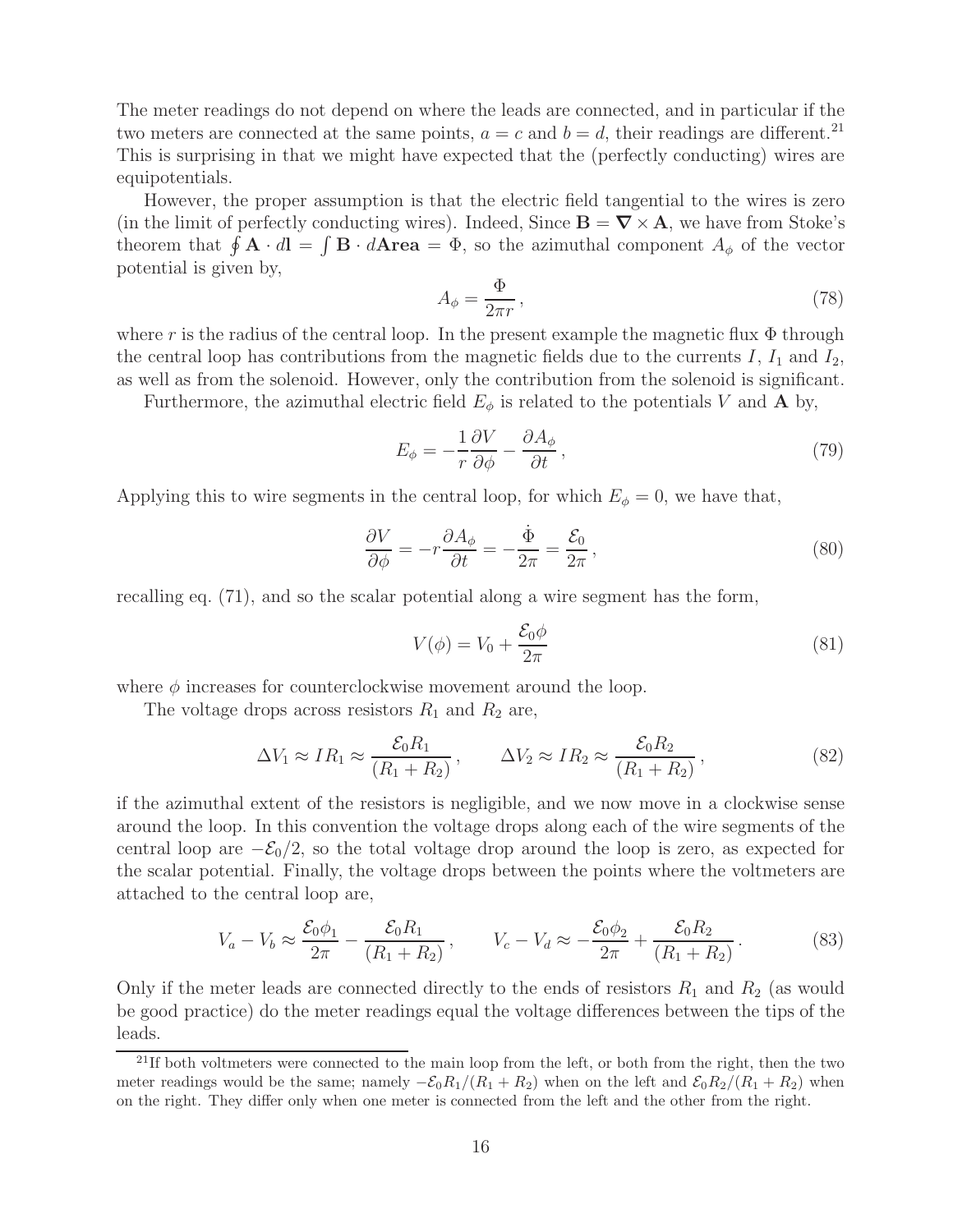The meter readings do not depend on where the leads are connected, and in particular if the two meters are connected at the same points,  $a = c$  and  $b = d$ , their readings are different.<sup>21</sup> This is surprising in that we might have expected that the (perfectly conducting) wires are equipotentials.

However, the proper assumption is that the electric field tangential to the wires is zero (in the limit of perfectly conducting wires). Indeed, Since  $\mathbf{B} = \nabla \times \mathbf{A}$ , we have from Stoke's theorem that  $\oint \mathbf{A} \cdot d\mathbf{l} = \int \mathbf{B} \cdot d\mathbf{Area} = \Phi$ , so the azimuthal component  $A_{\phi}$  of the vector potential is given by,

$$
A_{\phi} = \frac{\Phi}{2\pi r},\tag{78}
$$

where r is the radius of the central loop. In the present example the magnetic flux  $\Phi$  through the central loop has contributions from the magnetic fields due to the currents  $I, I_1$  and  $I_2$ , as well as from the solenoid. However, only the contribution from the solenoid is significant.

Furthermore, the azimuthal electric field  $E_{\phi}$  is related to the potentials V and **A** by,

$$
E_{\phi} = -\frac{1}{r} \frac{\partial V}{\partial \phi} - \frac{\partial A_{\phi}}{\partial t},\tag{79}
$$

Applying this to wire segments in the central loop, for which  $E_{\phi} = 0$ , we have that,

$$
\frac{\partial V}{\partial \phi} = -r \frac{\partial A_{\phi}}{\partial t} = -\frac{\dot{\Phi}}{2\pi} = \frac{\mathcal{E}_{0}}{2\pi},
$$
\n(80)

recalling eq. (71), and so the scalar potential along a wire segment has the form,

$$
V(\phi) = V_0 + \frac{\mathcal{E}_0 \phi}{2\pi} \tag{81}
$$

where  $\phi$  increases for counterclockwise movement around the loop.

The voltage drops across resistors  $R_1$  and  $R_2$  are,

$$
\Delta V_1 \approx IR_1 \approx \frac{\mathcal{E}_0 R_1}{(R_1 + R_2)}, \qquad \Delta V_2 \approx IR_2 \approx \frac{\mathcal{E}_0 R_2}{(R_1 + R_2)}, \qquad (82)
$$

if the azimuthal extent of the resistors is negligible, and we now move in a clockwise sense around the loop. In this convention the voltage drops along each of the wire segments of the central loop are  $-\mathcal{E}_0/2$ , so the total voltage drop around the loop is zero, as expected for the scalar potential. Finally, the voltage drops between the points where the voltmeters are attached to the central loop are,

$$
V_a - V_b \approx \frac{\mathcal{E}_0 \phi_1}{2\pi} - \frac{\mathcal{E}_0 R_1}{(R_1 + R_2)}, \qquad V_c - V_d \approx -\frac{\mathcal{E}_0 \phi_2}{2\pi} + \frac{\mathcal{E}_0 R_2}{(R_1 + R_2)}.
$$
 (83)

Only if the meter leads are connected directly to the ends of resistors  $R_1$  and  $R_2$  (as would be good practice) do the meter readings equal the voltage differences between the tips of the leads.

 $2<sup>11</sup>$ If both voltmeters were connected to the main loop from the left, or both from the right, then the two meter readings would be the same; namely  $-\mathcal{E}_0 R_1/(R_1 + R_2)$  when on the left and  $\mathcal{E}_0 R_2/(R_1 + R_2)$  when on the right. They differ only when one meter is connected from the left and the other from the right.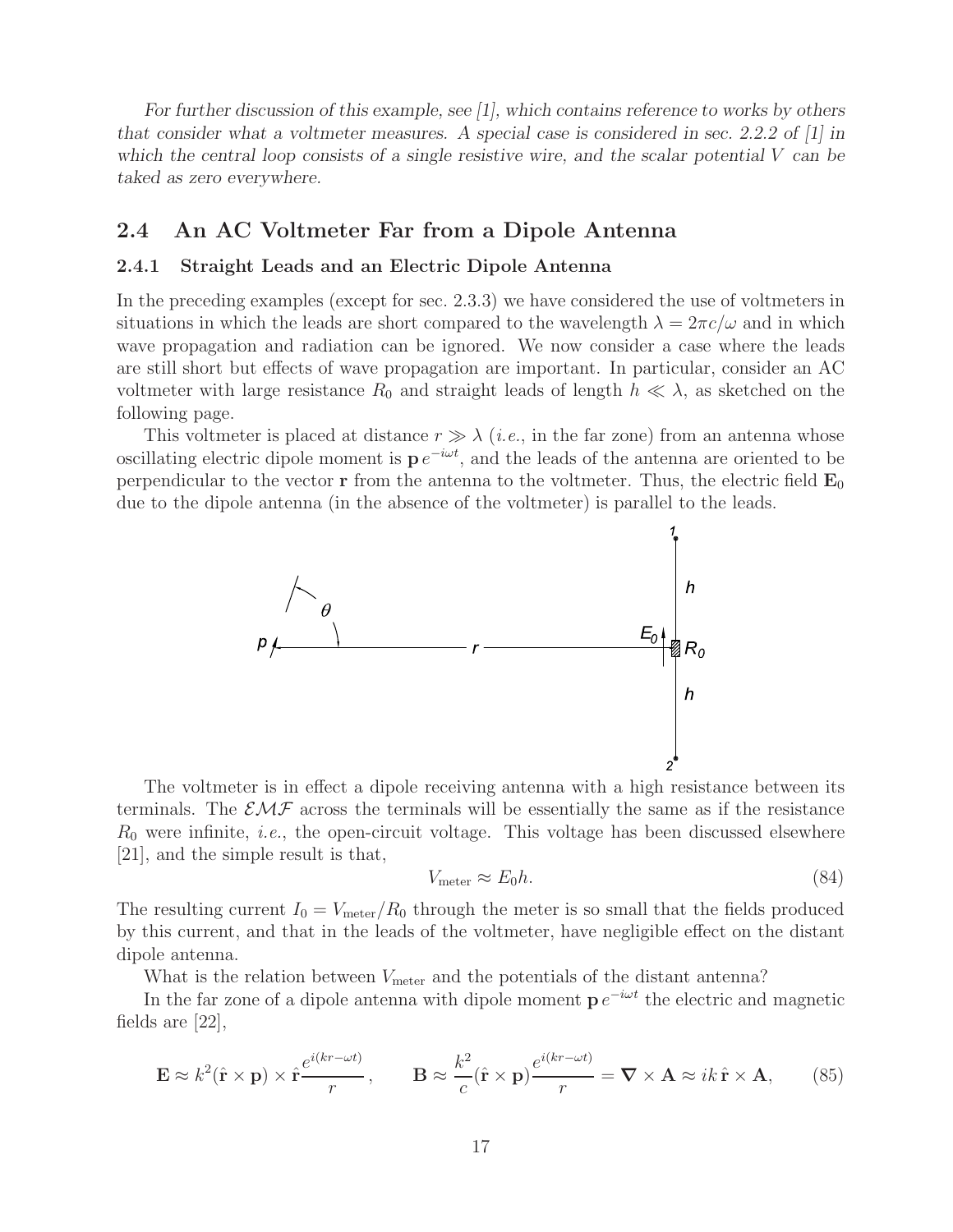*For further discussion of this example, see [1], which contains reference to works by others that consider what a voltmeter measures. A special case is considered in sec. 2.2.2 of [1] in which the central loop consists of a single resistive wire, and the scalar potential* V *can be taked as zero everywhere.*

### **2.4 An AC Voltmeter Far from a Dipole Antenna**

#### **2.4.1 Straight Leads and an Electric Dipole Antenna**

In the preceding examples (except for sec. 2.3.3) we have considered the use of voltmeters in situations in which the leads are short compared to the wavelength  $\lambda = 2\pi c/\omega$  and in which wave propagation and radiation can be ignored. We now consider a case where the leads are still short but effects of wave propagation are important. In particular, consider an AC voltmeter with large resistance  $R_0$  and straight leads of length  $h \ll \lambda$ , as sketched on the following page.

This voltmeter is placed at distance  $r \gg \lambda$  (*i.e.*, in the far zone) from an antenna whose oscillating electric dipole moment is  $p e^{-i\omega t}$ , and the leads of the antenna are oriented to be perpendicular to the vector **r** from the antenna to the voltmeter. Thus, the electric field  $\mathbf{E}_0$ due to the dipole antenna (in the absence of the voltmeter) is parallel to the leads.



The voltmeter is in effect a dipole receiving antenna with a high resistance between its terminals. The  $\mathcal{EMF}$  across the terminals will be essentially the same as if the resistance  $R_0$  were infinite, *i.e.*, the open-circuit voltage. This voltage has been discussed elsewhere [21], and the simple result is that,

$$
V_{\text{meter}} \approx E_0 h. \tag{84}
$$

The resulting current  $I_0 = V_{\text{meter}}/R_0$  through the meter is so small that the fields produced by this current, and that in the leads of the voltmeter, have negligible effect on the distant dipole antenna.

What is the relation between  $V_{\text{meter}}$  and the potentials of the distant antenna?

In the far zone of a dipole antenna with dipole moment  $p e^{-i\omega t}$  the electric and magnetic fields are [22],

$$
\mathbf{E} \approx k^2 (\hat{\mathbf{r}} \times \mathbf{p}) \times \hat{\mathbf{r}} \frac{e^{i(kr - \omega t)}}{r}, \qquad \mathbf{B} \approx \frac{k^2}{c} (\hat{\mathbf{r}} \times \mathbf{p}) \frac{e^{i(kr - \omega t)}}{r} = \nabla \times \mathbf{A} \approx ik \,\hat{\mathbf{r}} \times \mathbf{A}, \tag{85}
$$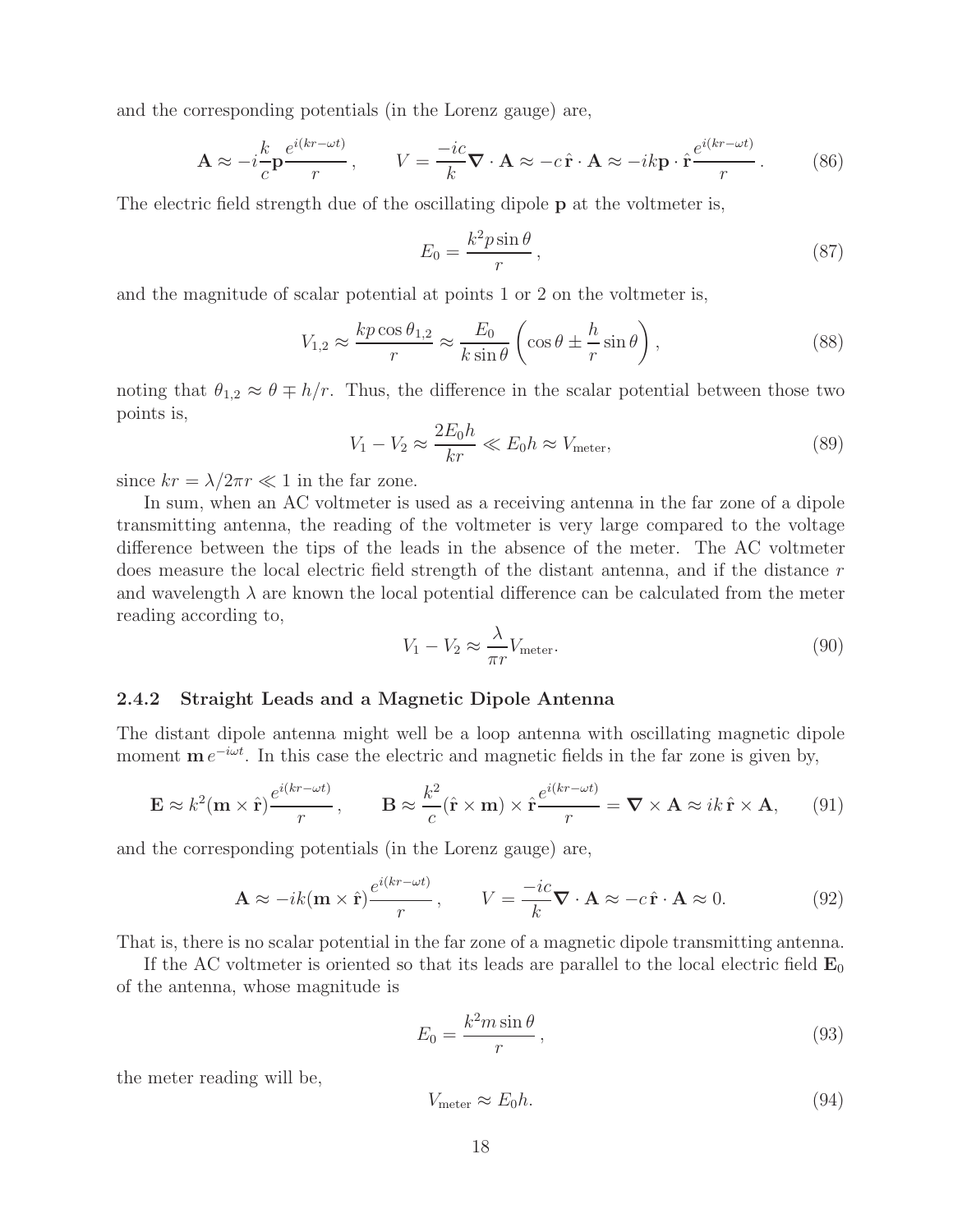and the corresponding potentials (in the Lorenz gauge) are,

$$
\mathbf{A} \approx -i\frac{k}{c}\mathbf{p}\frac{e^{i(kr-\omega t)}}{r}, \qquad V = \frac{-ic}{k}\nabla \cdot \mathbf{A} \approx -c\,\hat{\mathbf{r}} \cdot \mathbf{A} \approx -ik\mathbf{p} \cdot \hat{\mathbf{r}}\frac{e^{i(kr-\omega t)}}{r}.
$$
 (86)

The electric field strength due of the oscillating dipole **p** at the voltmeter is,

$$
E_0 = \frac{k^2 p \sin \theta}{r},\tag{87}
$$

and the magnitude of scalar potential at points 1 or 2 on the voltmeter is,

$$
V_{1,2} \approx \frac{kp\cos\theta_{1,2}}{r} \approx \frac{E_0}{k\sin\theta} \left(\cos\theta \pm \frac{h}{r}\sin\theta\right),\tag{88}
$$

noting that  $\theta_{1,2} \approx \theta \mp h/r$ . Thus, the difference in the scalar potential between those two points is,

$$
V_1 - V_2 \approx \frac{2E_0 h}{kr} \ll E_0 h \approx V_{\text{meter}},\tag{89}
$$

since  $kr = \lambda/2\pi r \ll 1$  in the far zone.

In sum, when an AC voltmeter is used as a receiving antenna in the far zone of a dipole transmitting antenna, the reading of the voltmeter is very large compared to the voltage difference between the tips of the leads in the absence of the meter. The AC voltmeter does measure the local electric field strength of the distant antenna, and if the distance r and wavelength  $\lambda$  are known the local potential difference can be calculated from the meter reading according to,

$$
V_1 - V_2 \approx \frac{\lambda}{\pi r} V_{\text{meter}}.\tag{90}
$$

#### **2.4.2 Straight Leads and a Magnetic Dipole Antenna**

The distant dipole antenna might well be a loop antenna with oscillating magnetic dipole moment  $\mathbf{m} e^{-i\omega t}$ . In this case the electric and magnetic fields in the far zone is given by,

$$
\mathbf{E} \approx k^2 (\mathbf{m} \times \hat{\mathbf{r}}) \frac{e^{i(kr - \omega t)}}{r}, \qquad \mathbf{B} \approx \frac{k^2}{c} (\hat{\mathbf{r}} \times \mathbf{m}) \times \hat{\mathbf{r}} \frac{e^{i(kr - \omega t)}}{r} = \mathbf{\nabla} \times \mathbf{A} \approx ik \,\hat{\mathbf{r}} \times \mathbf{A}, \qquad (91)
$$

and the corresponding potentials (in the Lorenz gauge) are,

$$
\mathbf{A} \approx -ik(\mathbf{m} \times \hat{\mathbf{r}}) \frac{e^{i(kr - \omega t)}}{r}, \qquad V = \frac{-ic}{k} \nabla \cdot \mathbf{A} \approx -c \hat{\mathbf{r}} \cdot \mathbf{A} \approx 0. \tag{92}
$$

That is, there is no scalar potential in the far zone of a magnetic dipole transmitting antenna.

If the AC voltmeter is oriented so that its leads are parallel to the local electric field  $\mathbf{E}_0$ of the antenna, whose magnitude is

$$
E_0 = \frac{k^2 m \sin \theta}{r},\tag{93}
$$

the meter reading will be,

$$
V_{\text{meter}} \approx E_0 h. \tag{94}
$$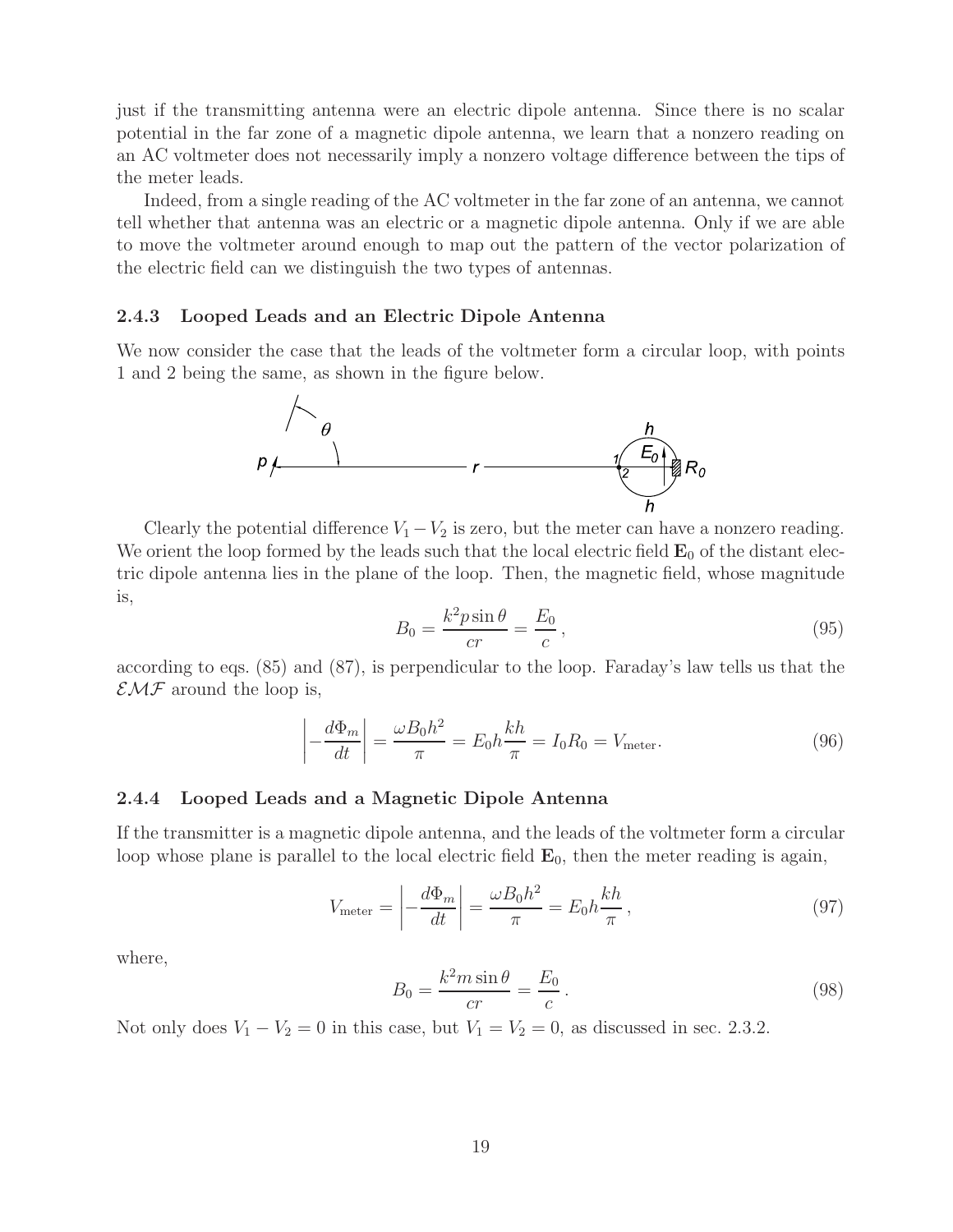just if the transmitting antenna were an electric dipole antenna. Since there is no scalar potential in the far zone of a magnetic dipole antenna, we learn that a nonzero reading on an AC voltmeter does not necessarily imply a nonzero voltage difference between the tips of the meter leads.

Indeed, from a single reading of the AC voltmeter in the far zone of an antenna, we cannot tell whether that antenna was an electric or a magnetic dipole antenna. Only if we are able to move the voltmeter around enough to map out the pattern of the vector polarization of the electric field can we distinguish the two types of antennas.

#### **2.4.3 Looped Leads and an Electric Dipole Antenna**

We now consider the case that the leads of the voltmeter form a circular loop, with points 1 and 2 being the same, as shown in the figure below.



Clearly the potential difference  $V_1 - V_2$  is zero, but the meter can have a nonzero reading. We orient the loop formed by the leads such that the local electric field  $\mathbf{E}_0$  of the distant electric dipole antenna lies in the plane of the loop. Then, the magnetic field, whose magnitude is,

$$
B_0 = \frac{k^2 p \sin \theta}{cr} = \frac{E_0}{c},\qquad(95)
$$

according to eqs. (85) and (87), is perpendicular to the loop. Faraday's law tells us that the  $\mathcal{EMF}$  around the loop is,

$$
\left| -\frac{d\Phi_m}{dt} \right| = \frac{\omega B_0 h^2}{\pi} = E_0 h \frac{kh}{\pi} = I_0 R_0 = V_{\text{meter}}.
$$
\n(96)

#### **2.4.4 Looped Leads and a Magnetic Dipole Antenna**

If the transmitter is a magnetic dipole antenna, and the leads of the voltmeter form a circular loop whose plane is parallel to the local electric field  $\mathbf{E}_0$ , then the meter reading is again,

$$
V_{\text{meter}} = \left| -\frac{d\Phi_m}{dt} \right| = \frac{\omega B_0 h^2}{\pi} = E_0 h \frac{kh}{\pi},\tag{97}
$$

where,

$$
B_0 = \frac{k^2 m \sin \theta}{cr} = \frac{E_0}{c} \,. \tag{98}
$$

Not only does  $V_1 - V_2 = 0$  in this case, but  $V_1 = V_2 = 0$ , as discussed in sec. 2.3.2.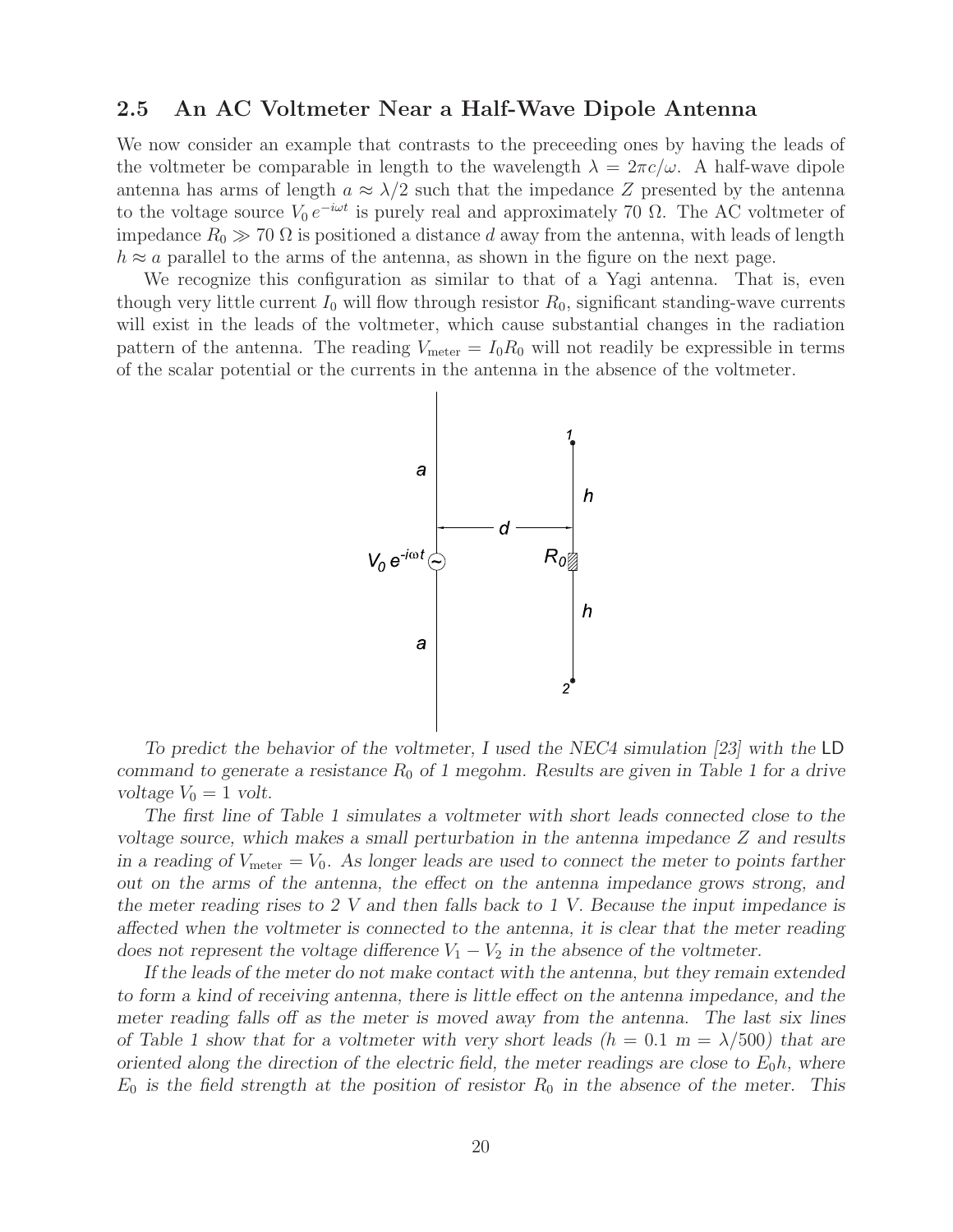## **2.5 An AC Voltmeter Near a Half-Wave Dipole Antenna**

We now consider an example that contrasts to the preceeding ones by having the leads of the voltmeter be comparable in length to the wavelength  $\lambda = 2\pi c/\omega$ . A half-wave dipole antenna has arms of length  $a \approx \lambda/2$  such that the impedance Z presented by the antenna to the voltage source  $V_0 e^{-i\omega t}$  is purely real and approximately 70  $\Omega$ . The AC voltmeter of impedance  $R_0 \gg 70 \Omega$  is positioned a distance d away from the antenna, with leads of length  $h \approx a$  parallel to the arms of the antenna, as shown in the figure on the next page.

We recognize this configuration as similar to that of a Yagi antenna. That is, even though very little current  $I_0$  will flow through resistor  $R_0$ , significant standing-wave currents will exist in the leads of the voltmeter, which cause substantial changes in the radiation pattern of the antenna. The reading  $V_{\text{meter}} = I_0 R_0$  will not readily be expressible in terms of the scalar potential or the currents in the antenna in the absence of the voltmeter.



*To predict the behavior of the voltmeter, I used the NEC4 simulation [23] with the* LD *command to generate a resistance*  $R_0$  *of 1 megohm. Results are given in Table 1 for a drive voltage*  $V_0 = 1$  *volt.* 

*The first line of Table 1 simulates a voltmeter with short leads connected close to the voltage source, which makes a small perturbation in the antenna impedance* Z and results *in a reading of*  $V_{\text{meter}} = V_0$ . As longer leads are used to connect the meter to points farther *out on the arms of the antenna, the effect on the antenna impedance grows strong, and the meter reading rises to 2 V and then falls back to 1 V. Because the input impedance is affected when the voltmeter is connected to the antenna, it is clear that the meter reading does not represent the voltage difference*  $V_1 - V_2$  *in the absence of the voltmeter.* 

*If the leads of the meter do not make contact with the antenna, but they remain extended to form a kind of receiving antenna, there is little effect on the antenna impedance, and the meter reading falls off as the meter is moved away from the antenna. The last six lines of Table 1 show that for a voltmeter with very short leads*  $(h = 0.1 \text{ m} = \lambda/500)$  *that are oriented along the direction of the electric field, the meter readings are close to*  $E_0 h$ , where  $E_0$  is the field strength at the position of resistor  $R_0$  in the absence of the meter. This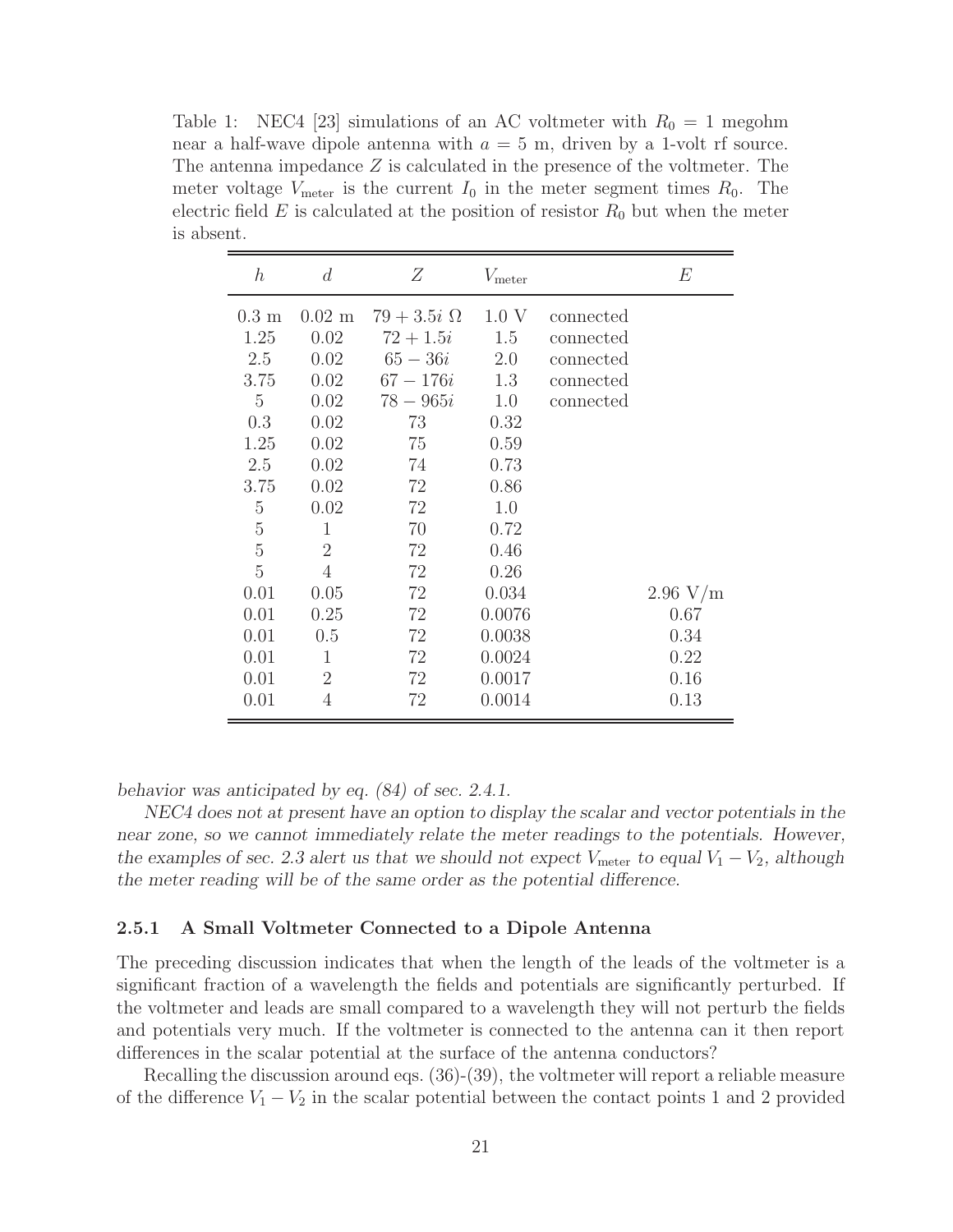Table 1: NEC4 [23] simulations of an AC voltmeter with  $R_0 = 1$  megohm near a half-wave dipole antenna with  $a = 5$  m, driven by a 1-volt rf source. The antenna impedance Z is calculated in the presence of the voltmeter. The meter voltage  $V_{\text{meter}}$  is the current  $I_0$  in the meter segment times  $R_0$ . The electric field  $E$  is calculated at the position of resistor  $R_0$  but when the meter is absent.

| $\hbar$                                                                                                                                                    | d                                                                                                                                                            | Ζ                                                                                                                                      | $V_{\text{meter}}$                                                                                                  |                                                               | E                            |
|------------------------------------------------------------------------------------------------------------------------------------------------------------|--------------------------------------------------------------------------------------------------------------------------------------------------------------|----------------------------------------------------------------------------------------------------------------------------------------|---------------------------------------------------------------------------------------------------------------------|---------------------------------------------------------------|------------------------------|
| $0.3 \text{ m}$<br>1.25<br>2.5<br>3.75<br>$\overline{5}$<br>0.3<br>1.25<br>2.5<br>3.75<br>$\overline{5}$<br>$\overline{5}$<br>$\rm 5$<br>5<br>0.01<br>0.01 | $0.02 \text{ m}$<br>0.02<br>0.02<br>0.02<br>0.02<br>0.02<br>0.02<br>0.02<br>0.02<br>0.02<br>$\mathbf{1}$<br>$\overline{2}$<br>$\overline{4}$<br>0.05<br>0.25 | $79+3.5i\Omega$<br>$72 + 1.5i$<br>$65 - 36i$<br>$67 - 176i$<br>$78 - 965i$<br>73<br>75<br>74<br>72<br>72<br>70<br>72<br>72<br>72<br>72 | 1.0 V<br>1.5<br>2.0<br>1.3<br>1.0<br>0.32<br>0.59<br>0.73<br>0.86<br>1.0<br>0.72<br>0.46<br>0.26<br>0.034<br>0.0076 | connected<br>connected<br>connected<br>connected<br>connected | 2.96 V/m<br>0.67             |
| 0.01<br>0.01<br>0.01<br>0.01                                                                                                                               | 0.5<br>1<br>$\overline{2}$<br>4                                                                                                                              | 72<br>72<br>72<br>72                                                                                                                   | 0.0038<br>0.0024<br>0.0017<br>0.0014                                                                                |                                                               | 0.34<br>0.22<br>0.16<br>0.13 |

*behavior was anticipated by eq. (84) of sec. 2.4.1.*

*NEC4 does not at present have an option to display the scalar and vector potentials in the near zone, so we cannot immediately relate the meter readings to the potentials. However, the examples of sec. 2.3 alert us that we should not expect*  $V_{\text{meter}}$  to equal  $V_1 - V_2$ , although *the meter reading will be of the same order as the potential difference.*

#### **2.5.1 A Small Voltmeter Connected to a Dipole Antenna**

The preceding discussion indicates that when the length of the leads of the voltmeter is a significant fraction of a wavelength the fields and potentials are significantly perturbed. If the voltmeter and leads are small compared to a wavelength they will not perturb the fields and potentials very much. If the voltmeter is connected to the antenna can it then report differences in the scalar potential at the surface of the antenna conductors?

Recalling the discussion around eqs. (36)-(39), the voltmeter will report a reliable measure of the difference  $V_1 - V_2$  in the scalar potential between the contact points 1 and 2 provided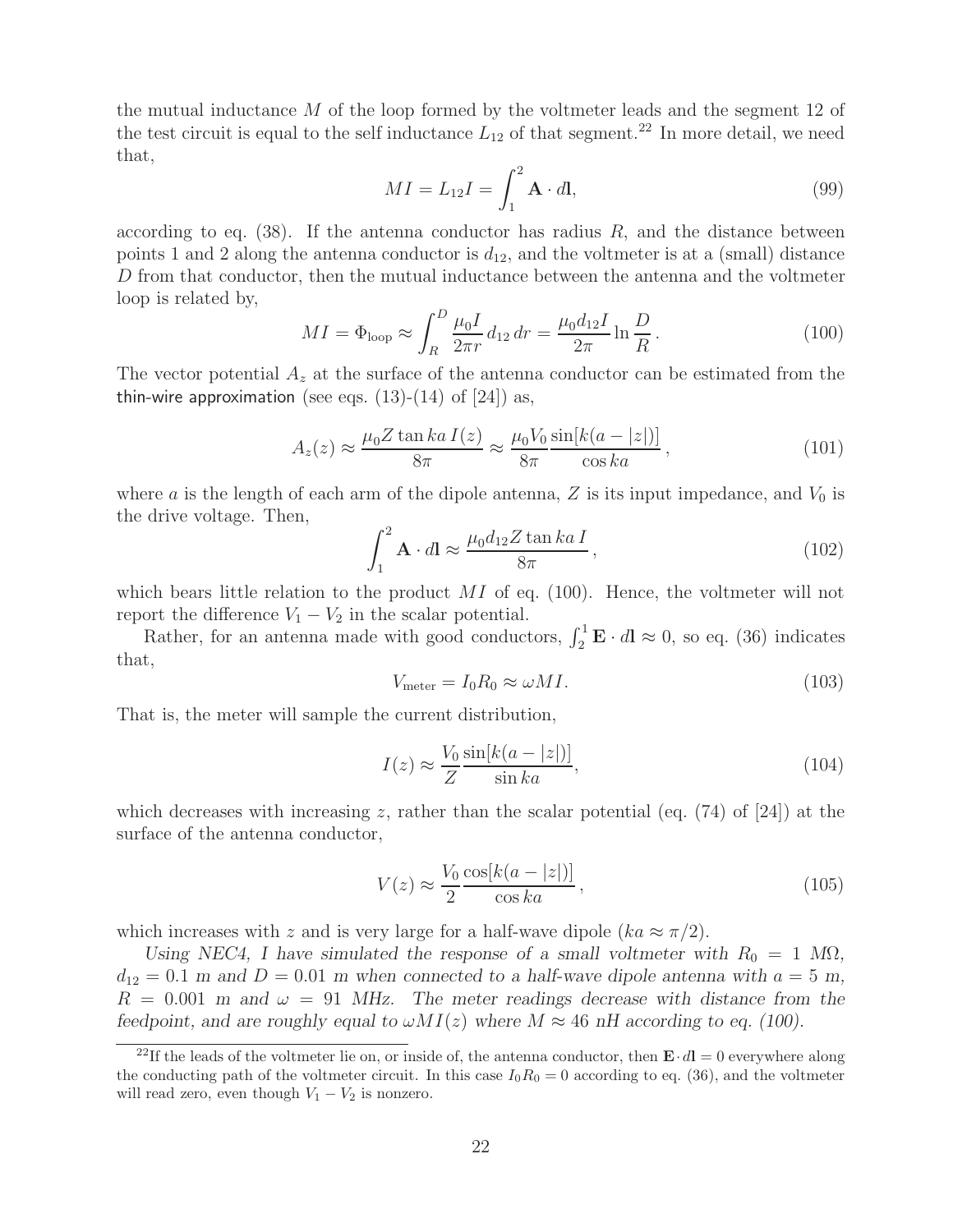the mutual inductance M of the loop formed by the voltmeter leads and the segment 12 of the test circuit is equal to the self inductance  $L_{12}$  of that segment.<sup>22</sup> In more detail, we need that,

$$
MI = L_{12}I = \int_{1}^{2} \mathbf{A} \cdot d\mathbf{l},\tag{99}
$$

according to eq.  $(38)$ . If the antenna conductor has radius R, and the distance between points 1 and 2 along the antenna conductor is  $d_{12}$ , and the voltmeter is at a (small) distance D from that conductor, then the mutual inductance between the antenna and the voltmeter loop is related by,

$$
MI = \Phi_{\text{loop}} \approx \int_{R}^{D} \frac{\mu_{0} I}{2\pi r} d_{12} dr = \frac{\mu_{0} d_{12} I}{2\pi} \ln \frac{D}{R}.
$$
 (100)

The vector potential  $A_z$  at the surface of the antenna conductor can be estimated from the thin-wire approximation (see eqs.  $(13)-(14)$  of  $[24]$ ) as,

$$
A_z(z) \approx \frac{\mu_0 Z \tan ka \, I(z)}{8\pi} \approx \frac{\mu_0 V_0}{8\pi} \frac{\sin[k(a-|z|)]}{\cos ka} \,,\tag{101}
$$

where a is the length of each arm of the dipole antenna, Z is its input impedance, and  $V_0$  is the drive voltage. Then,

$$
\int_{1}^{2} \mathbf{A} \cdot d\mathbf{l} \approx \frac{\mu_0 d_{12} Z \tan ka I}{8\pi},
$$
\n(102)

which bears little relation to the product  $MI$  of eq. (100). Hence, the voltmeter will not report the difference  $V_1 - V_2$  in the scalar potential.

Rather, for an antenna made with good conductors,  $\int_2^1 \mathbf{E} \cdot d\mathbf{l} \approx 0$ , so eq. (36) indicates that,

$$
V_{\text{meter}} = I_0 R_0 \approx \omega M I. \tag{103}
$$

That is, the meter will sample the current distribution,

$$
I(z) \approx \frac{V_0}{Z} \frac{\sin[k(a - |z|)]}{\sin ka},
$$
\n(104)

which decreases with increasing z, rather than the scalar potential (eq.  $(74)$  of [24]) at the surface of the antenna conductor,

$$
V(z) \approx \frac{V_0 \cos[k(a - |z|)]}{2 \cos ka},
$$
\n(105)

which increases with z and is very large for a half-wave dipole  $(ka \approx \pi/2)$ .

*Using NEC4, I have simulated the response of a small voltmeter with*  $R_0 = 1$   $M\Omega$ *,*  $d_{12} = 0.1$  *m* and  $D = 0.01$  *m* when connected to a half-wave dipole antenna with  $a = 5$  *m*,  $R = 0.001$  *m* and  $\omega = 91$  MHz. The meter readings decrease with distance from the *feedpoint, and are roughly equal to*  $\omega MI(z)$  *where*  $M \approx 46$  *nH according to eq. (100).* 

<sup>&</sup>lt;sup>22</sup>If the leads of the voltmeter lie on, or inside of, the antenna conductor, then  $\mathbf{E} \cdot d\mathbf{l} = 0$  everywhere along the conducting path of the voltmeter circuit. In this case  $I_0R_0 = 0$  according to eq. (36), and the voltmeter will read zero, even though  $V_1 - V_2$  is nonzero.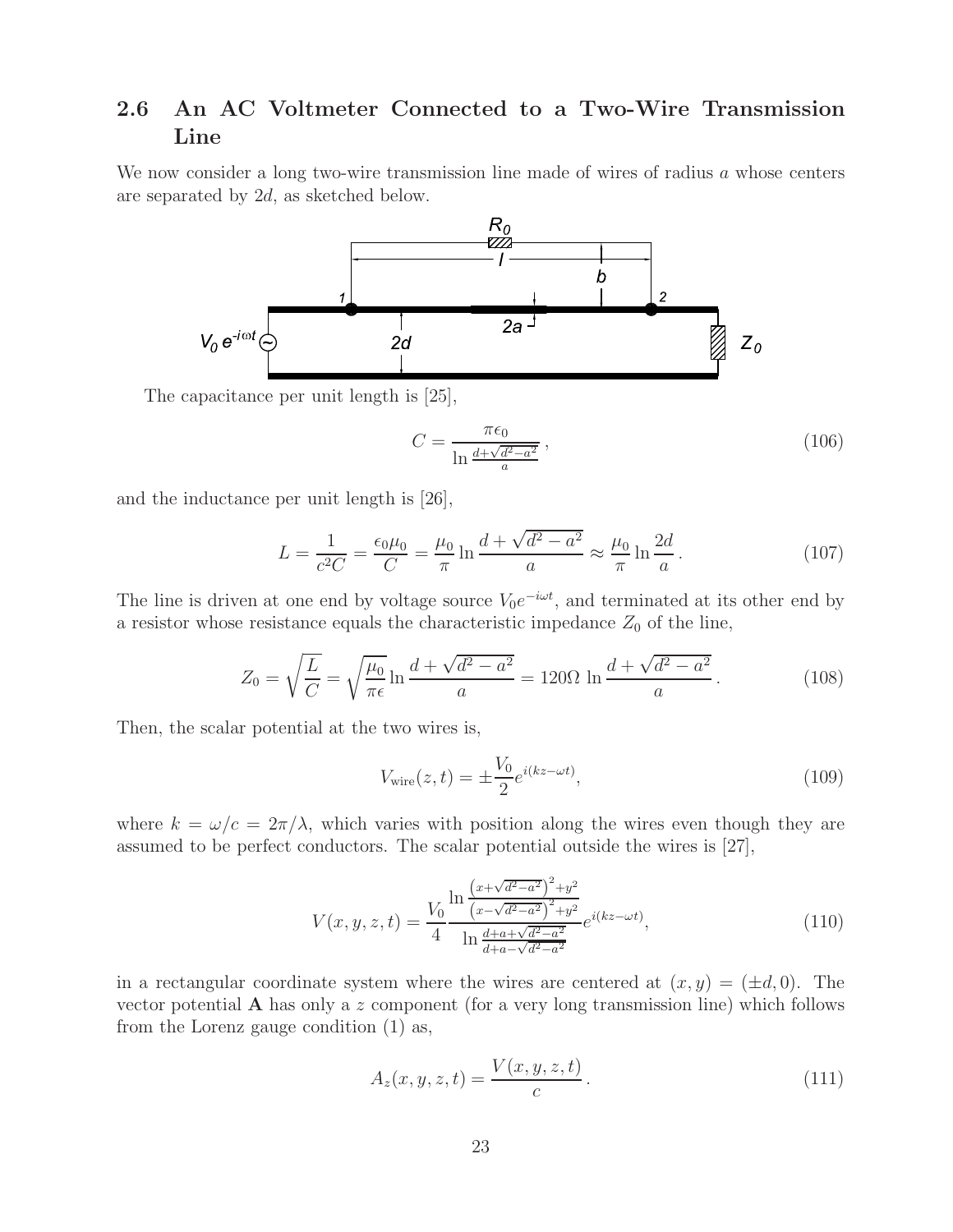# **2.6 An AC Voltmeter Connected to a Two-Wire Transmission Line**

We now consider a long two-wire transmission line made of wires of radius a whose centers are separated by 2d, as sketched below.



The capacitance per unit length is [25],

$$
C = \frac{\pi \epsilon_0}{\ln \frac{d + \sqrt{d^2 - a^2}}{a}},\tag{106}
$$

and the inductance per unit length is [26],

$$
L = \frac{1}{c^2 C} = \frac{\epsilon_0 \mu_0}{C} = \frac{\mu_0}{\pi} \ln \frac{d + \sqrt{d^2 - a^2}}{a} \approx \frac{\mu_0}{\pi} \ln \frac{2d}{a}.
$$
 (107)

The line is driven at one end by voltage source  $V_0e^{-i\omega t}$ , and terminated at its other end by a resistor whose resistance equals the characteristic impedance  $Z_0$  of the line,

$$
Z_0 = \sqrt{\frac{L}{C}} = \sqrt{\frac{\mu_0}{\pi \epsilon}} \ln \frac{d + \sqrt{d^2 - a^2}}{a} = 120 \Omega \ln \frac{d + \sqrt{d^2 - a^2}}{a}.
$$
 (108)

Then, the scalar potential at the two wires is,

$$
V_{\text{wire}}(z, t) = \pm \frac{V_0}{2} e^{i(kz - \omega t)},\tag{109}
$$

where  $k = \omega/c = 2\pi/\lambda$ , which varies with position along the wires even though they are assumed to be perfect conductors. The scalar potential outside the wires is [27],

$$
V(x, y, z, t) = \frac{V_0}{4} \frac{\ln \frac{\left(x + \sqrt{d^2 - a^2}\right)^2 + y^2}{\left(x - \sqrt{d^2 - a^2}\right)^2 + y^2}}{\ln \frac{d^2 + a^2}{d^2 - a^2}} e^{i(kz - \omega t)},
$$
\n(110)

in a rectangular coordinate system where the wires are centered at  $(x, y) = (\pm d, 0)$ . The vector potential **A** has only a z component (for a very long transmission line) which follows from the Lorenz gauge condition (1) as,

$$
A_z(x, y, z, t) = \frac{V(x, y, z, t)}{c}.
$$
\n(111)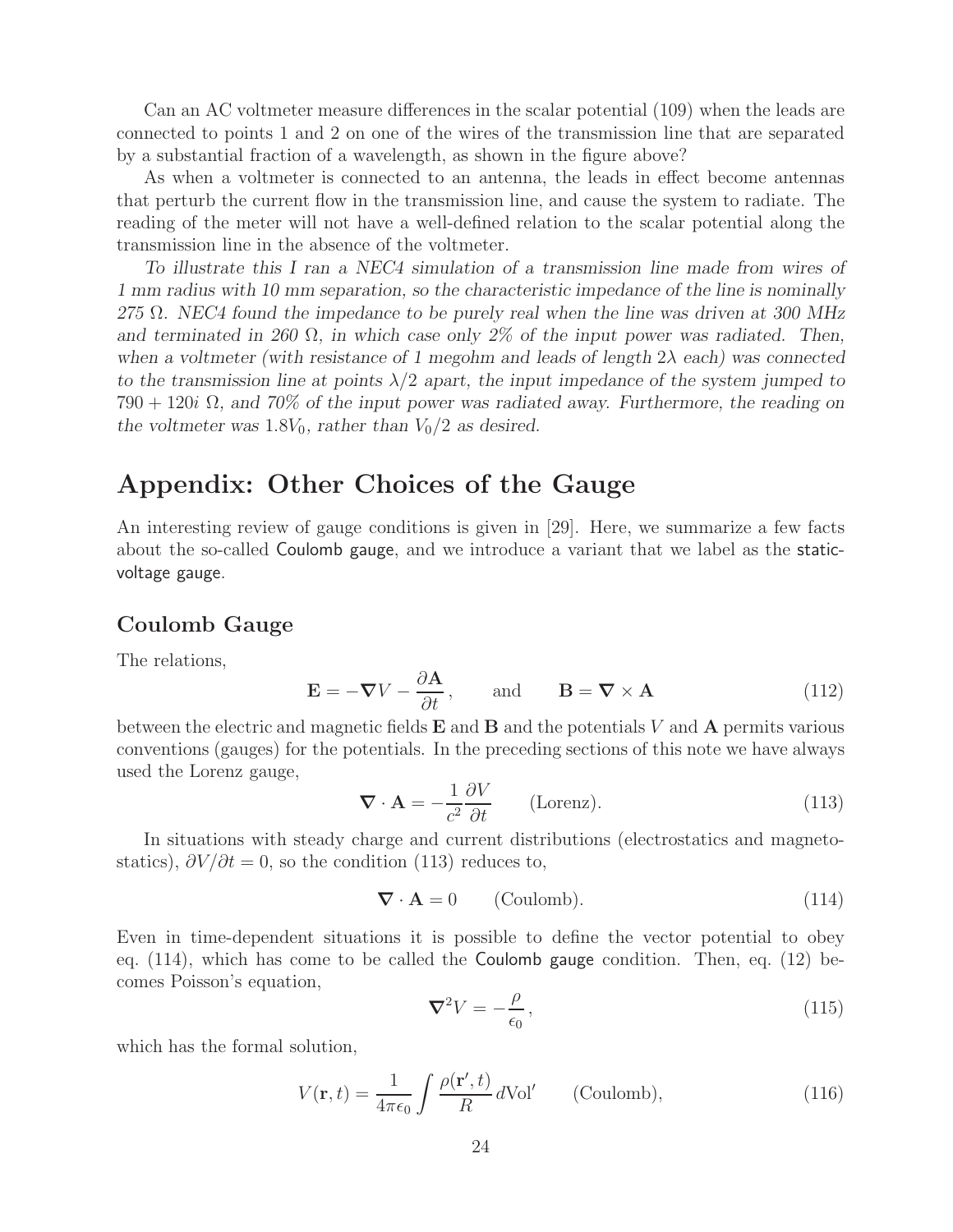Can an AC voltmeter measure differences in the scalar potential (109) when the leads are connected to points 1 and 2 on one of the wires of the transmission line that are separated by a substantial fraction of a wavelength, as shown in the figure above?

As when a voltmeter is connected to an antenna, the leads in effect become antennas that perturb the current flow in the transmission line, and cause the system to radiate. The reading of the meter will not have a well-defined relation to the scalar potential along the transmission line in the absence of the voltmeter.

*To illustrate this I ran a NEC4 simulation of a transmission line made from wires of 1 mm radius with 10 mm separation, so the characteristic impedance of the line is nominally 275* Ω*. NEC4 found the impedance to be purely real when the line was driven at 300 MHz and terminated in 260* Ω*, in which case only 2% of the input power was radiated. Then, when a voltmeter (with resistance of 1 megohm and leads of length* 2λ *each) was connected to the transmission line at points*  $\lambda/2$  *apart, the input impedance of the system jumped to* 790 + 120i Ω*, and 70% of the input power was radiated away. Furthermore, the reading on the voltmeter was* 1.8 $V_0$ *, rather than*  $V_0/2$  *as desired.* 

# **Appendix: Other Choices of the Gauge**

An interesting review of gauge conditions is given in [29]. Here, we summarize a few facts about the so-called Coulomb gauge, and we introduce a variant that we label as the staticvoltage gauge.

## **Coulomb Gauge**

The relations,

$$
\mathbf{E} = -\nabla V - \frac{\partial \mathbf{A}}{\partial t}, \quad \text{and} \quad \mathbf{B} = \nabla \times \mathbf{A}
$$
 (112)

between the electric and magnetic fields **E** and **B** and the potentials V and **A** permits various conventions (gauges) for the potentials. In the preceding sections of this note we have always used the Lorenz gauge,

$$
\nabla \cdot \mathbf{A} = -\frac{1}{c^2} \frac{\partial V}{\partial t} \qquad \text{(Lorenz)}.
$$
 (113)

In situations with steady charge and current distributions (electrostatics and magnetostatics),  $\partial V/\partial t = 0$ , so the condition (113) reduces to,

$$
\nabla \cdot \mathbf{A} = 0 \qquad \text{(Coulomb)}.
$$
 (114)

Even in time-dependent situations it is possible to define the vector potential to obey eq.  $(114)$ , which has come to be called the **Coulomb gauge** condition. Then, eq.  $(12)$  becomes Poisson's equation,

$$
\nabla^2 V = -\frac{\rho}{\epsilon_0},\tag{115}
$$

which has the formal solution,

$$
V(\mathbf{r},t) = \frac{1}{4\pi\epsilon_0} \int \frac{\rho(\mathbf{r}',t)}{R} d\text{Vol}' \qquad \text{(Coulomb)},\tag{116}
$$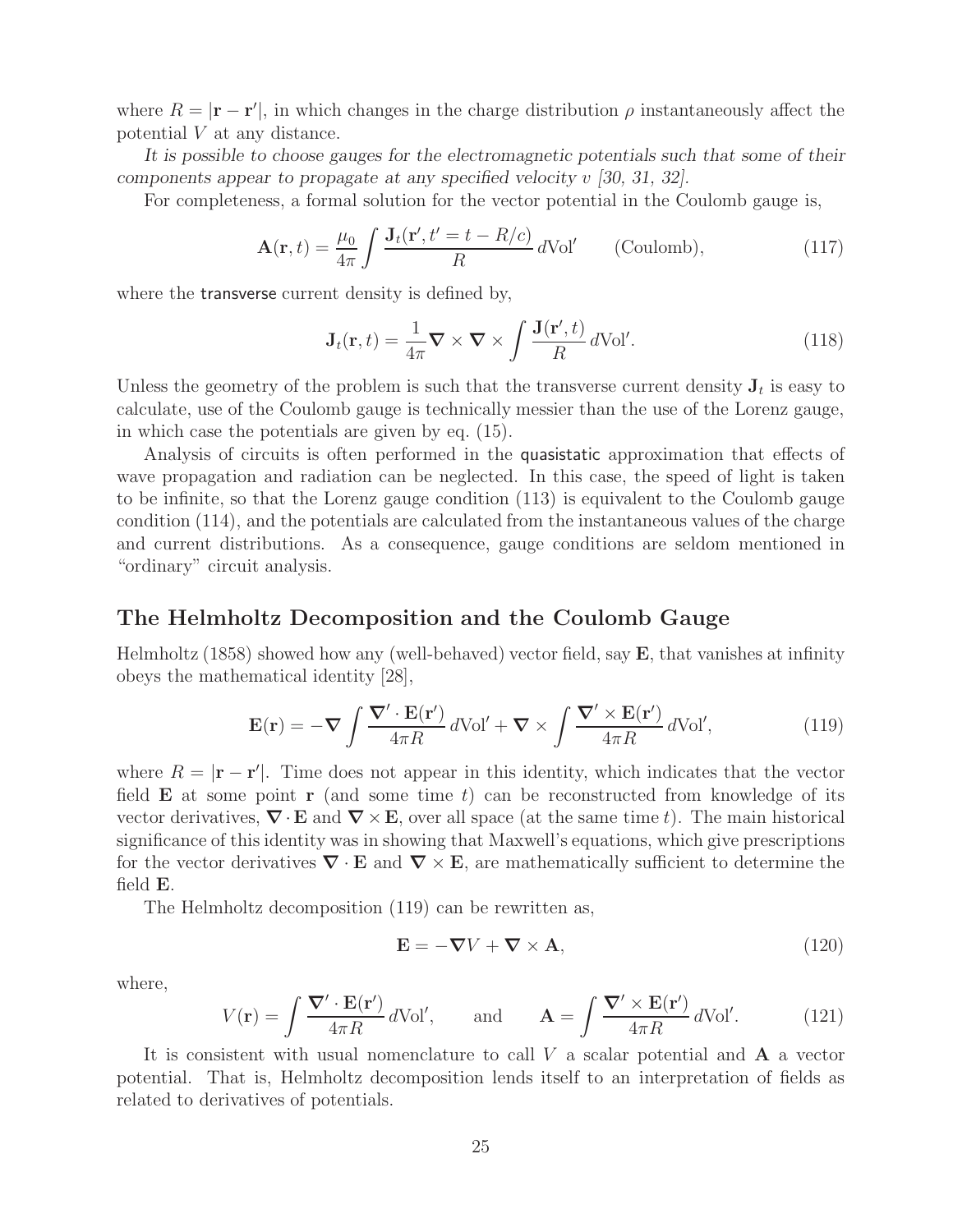where  $R = |\mathbf{r} - \mathbf{r}'|$ , in which changes in the charge distribution  $\rho$  instantaneously affect the potential V at any distance.

*It is possible to choose gauges for the electromagnetic potentials such that some of their components appear to propagate at any specified velocity* v *[30, 31, 32].*

For completeness, a formal solution for the vector potential in the Coulomb gauge is,

$$
\mathbf{A}(\mathbf{r},t) = \frac{\mu_0}{4\pi} \int \frac{\mathbf{J}_t(\mathbf{r}',t'=t-R/c)}{R} d\text{Vol}' \qquad \text{(Coulomb)},\tag{117}
$$

where the **transverse** current density is defined by,

$$
\mathbf{J}_t(\mathbf{r},t) = \frac{1}{4\pi} \nabla \times \nabla \times \int \frac{\mathbf{J}(\mathbf{r}',t)}{R} \, d\text{Vol}'.\tag{118}
$$

Unless the geometry of the problem is such that the transverse current density  $J_t$  is easy to calculate, use of the Coulomb gauge is technically messier than the use of the Lorenz gauge, in which case the potentials are given by eq. (15).

Analysis of circuits is often performed in the quasistatic approximation that effects of wave propagation and radiation can be neglected. In this case, the speed of light is taken to be infinite, so that the Lorenz gauge condition (113) is equivalent to the Coulomb gauge condition (114), and the potentials are calculated from the instantaneous values of the charge and current distributions. As a consequence, gauge conditions are seldom mentioned in "ordinary" circuit analysis.

### **The Helmholtz Decomposition and the Coulomb Gauge**

Helmholtz (1858) showed how any (well-behaved) vector field, say **E**, that vanishes at infinity obeys the mathematical identity [28],

$$
\mathbf{E}(\mathbf{r}) = -\nabla \int \frac{\nabla' \cdot \mathbf{E}(\mathbf{r}')}{4\pi R} d\text{Vol}' + \nabla \times \int \frac{\nabla' \times \mathbf{E}(\mathbf{r}')}{4\pi R} d\text{Vol}',\tag{119}
$$

where  $R = |\mathbf{r} - \mathbf{r}'|$ . Time does not appear in this identity, which indicates that the vector field **E** at some point **r** (and some time t) can be reconstructed from knowledge of its vector derivatives,  $\nabla \cdot \mathbf{E}$  and  $\nabla \times \mathbf{E}$ , over all space (at the same time t). The main historical significance of this identity was in showing that Maxwell's equations, which give prescriptions for the vector derivatives  $\nabla \cdot \mathbf{E}$  and  $\nabla \times \mathbf{E}$ , are mathematically sufficient to determine the field **E**.

The Helmholtz decomposition (119) can be rewritten as,

$$
\mathbf{E} = -\nabla V + \nabla \times \mathbf{A},\tag{120}
$$

where,

$$
V(\mathbf{r}) = \int \frac{\nabla' \cdot \mathbf{E}(\mathbf{r}')}{4\pi R} d\text{Vol}', \quad \text{and} \quad \mathbf{A} = \int \frac{\nabla' \times \mathbf{E}(\mathbf{r}')}{4\pi R} d\text{Vol}'. \quad (121)
$$

It is consistent with usual nomenclature to call V a scalar potential and **A** a vector potential. That is, Helmholtz decomposition lends itself to an interpretation of fields as related to derivatives of potentials.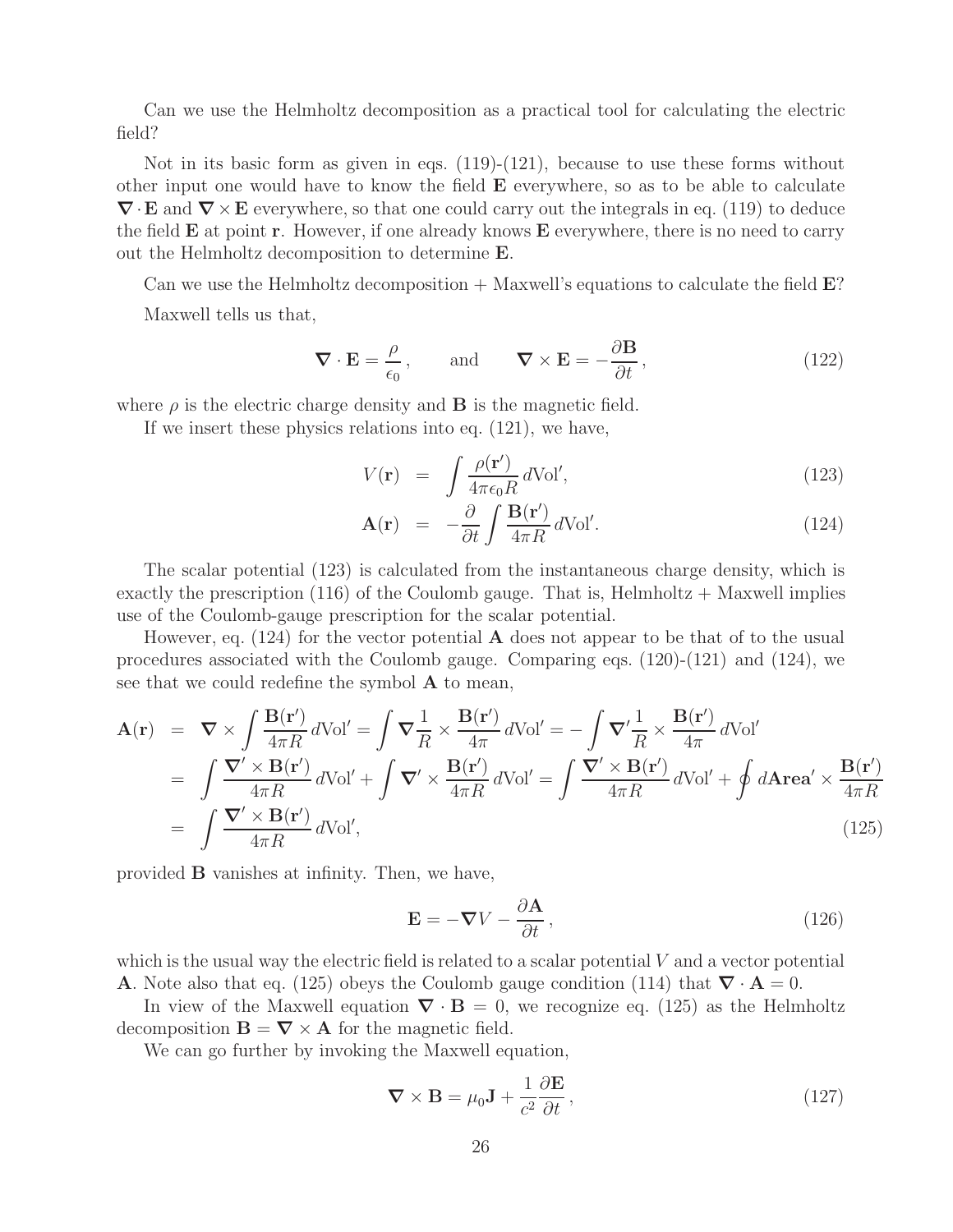Can we use the Helmholtz decomposition as a practical tool for calculating the electric field?

Not in its basic form as given in eqs. (119)-(121), because to use these forms without other input one would have to know the field **E** everywhere, so as to be able to calculate *∇*·**E** and *∇*×**E** everywhere, so that one could carry out the integrals in eq. (119) to deduce the field **E** at point **r**. However, if one already knows **E** everywhere, there is no need to carry out the Helmholtz decomposition to determine **E**.

Can we use the Helmholtz decomposition + Maxwell's equations to calculate the field **E**?

Maxwell tells us that,

$$
\nabla \cdot \mathbf{E} = \frac{\rho}{\epsilon_0}, \quad \text{and} \quad \nabla \times \mathbf{E} = -\frac{\partial \mathbf{B}}{\partial t}, \tag{122}
$$

where  $\rho$  is the electric charge density and **B** is the magnetic field.

If we insert these physics relations into eq. (121), we have,

$$
V(\mathbf{r}) = \int \frac{\rho(\mathbf{r}')}{4\pi\epsilon_0 R} d\text{Vol}',\tag{123}
$$

$$
\mathbf{A}(\mathbf{r}) = -\frac{\partial}{\partial t} \int \frac{\mathbf{B}(\mathbf{r}')}{4\pi R} d\text{Vol}'. \qquad (124)
$$

The scalar potential (123) is calculated from the instantaneous charge density, which is exactly the prescription (116) of the Coulomb gauge. That is, Helmholtz  $+$  Maxwell implies use of the Coulomb-gauge prescription for the scalar potential.

However, eq. (124) for the vector potential **A** does not appear to be that of to the usual procedures associated with the Coulomb gauge. Comparing eqs. (120)-(121) and (124), we see that we could redefine the symbol **A** to mean,

$$
\mathbf{A}(\mathbf{r}) = \nabla \times \int \frac{\mathbf{B}(\mathbf{r}')}{4\pi R} d\text{Vol}' = \int \nabla \frac{1}{R} \times \frac{\mathbf{B}(\mathbf{r}')}{4\pi} d\text{Vol}' = -\int \nabla' \frac{1}{R} \times \frac{\mathbf{B}(\mathbf{r}')}{4\pi} d\text{Vol}'
$$
\n
$$
= \int \frac{\nabla' \times \mathbf{B}(\mathbf{r}')}{4\pi R} d\text{Vol}' + \int \nabla' \times \frac{\mathbf{B}(\mathbf{r}')}{4\pi R} d\text{Vol}' = \int \frac{\nabla' \times \mathbf{B}(\mathbf{r}')}{4\pi R} d\text{Vol}' + \oint d\text{Area}' \times \frac{\mathbf{B}(\mathbf{r}')}{4\pi R}
$$
\n
$$
= \int \frac{\nabla' \times \mathbf{B}(\mathbf{r}')}{4\pi R} d\text{Vol}', \tag{125}
$$

provided **B** vanishes at infinity. Then, we have,

$$
\mathbf{E} = -\nabla V - \frac{\partial \mathbf{A}}{\partial t},\qquad(126)
$$

which is the usual way the electric field is related to a scalar potential  $V$  and a vector potential **A**. Note also that eq. (125) obeys the Coulomb gauge condition (114) that  $\nabla \cdot \mathbf{A} = 0$ .

In view of the Maxwell equation  $\nabla \cdot \mathbf{B} = 0$ , we recognize eq. (125) as the Helmholtz decomposition  $\mathbf{B} = \nabla \times \mathbf{A}$  for the magnetic field.

We can go further by invoking the Maxwell equation,

$$
\nabla \times \mathbf{B} = \mu_0 \mathbf{J} + \frac{1}{c^2} \frac{\partial \mathbf{E}}{\partial t},
$$
\n(127)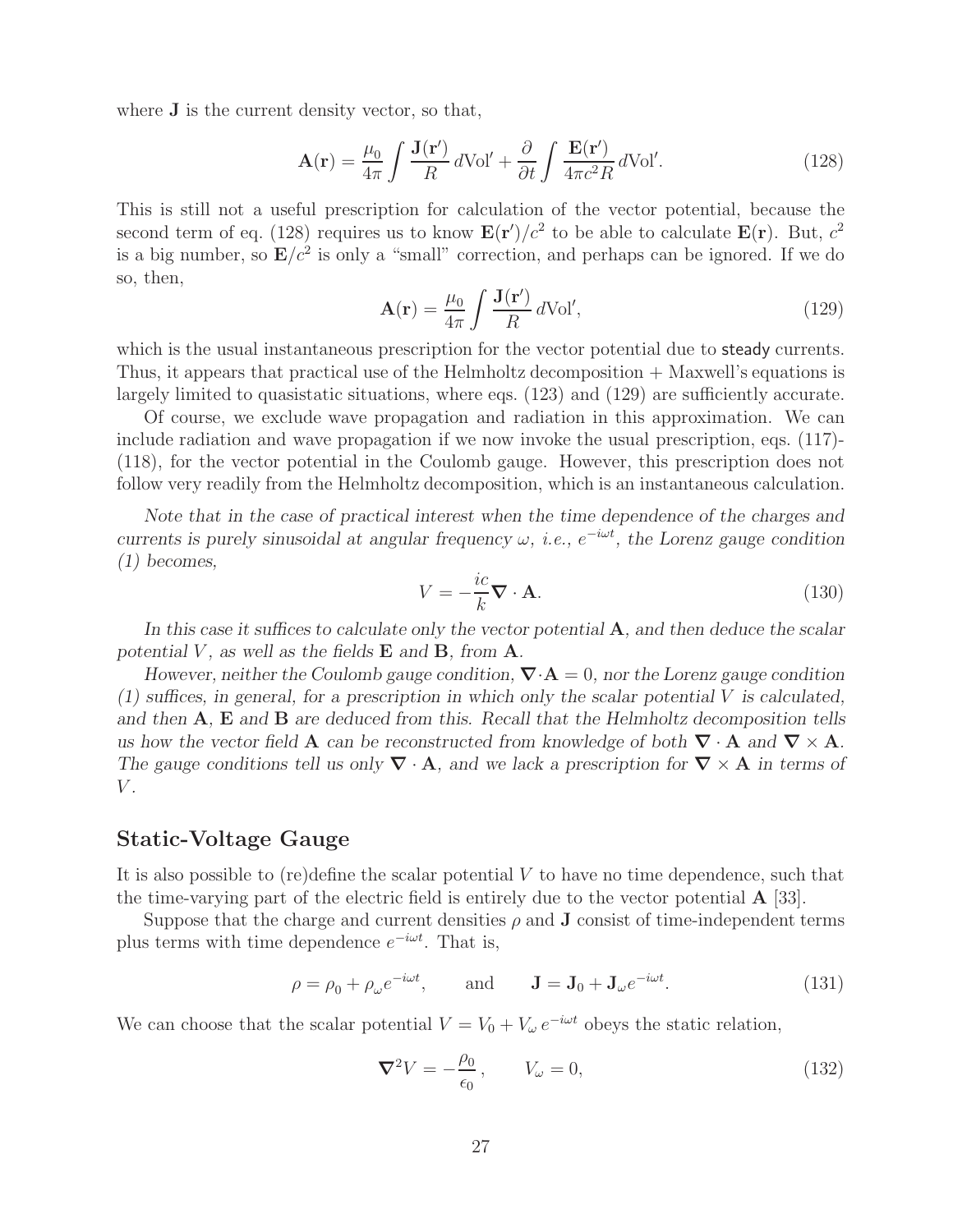where **J** is the current density vector, so that,

$$
\mathbf{A}(\mathbf{r}) = \frac{\mu_0}{4\pi} \int \frac{\mathbf{J}(\mathbf{r}')}{R} d\mathrm{Vol}' + \frac{\partial}{\partial t} \int \frac{\mathbf{E}(\mathbf{r}')}{4\pi c^2 R} d\mathrm{Vol}'. \tag{128}
$$

This is still not a useful prescription for calculation of the vector potential, because the second term of eq. (128) requires us to know  $\mathbf{E}(\mathbf{r}')/c^2$  to be able to calculate  $\mathbf{E}(\mathbf{r})$ . But,  $c^2$ is a big number, so  $\mathbf{E}/c^2$  is only a "small" correction, and perhaps can be ignored. If we do so, then,

$$
\mathbf{A}(\mathbf{r}) = \frac{\mu_0}{4\pi} \int \frac{\mathbf{J}(\mathbf{r}')}{R} d\text{Vol}',\tag{129}
$$

which is the usual instantaneous prescription for the vector potential due to steady currents. Thus, it appears that practical use of the Helmholtz decomposition + Maxwell's equations is largely limited to quasistatic situations, where eqs.  $(123)$  and  $(129)$  are sufficiently accurate.

Of course, we exclude wave propagation and radiation in this approximation. We can include radiation and wave propagation if we now invoke the usual prescription, eqs. (117)- (118), for the vector potential in the Coulomb gauge. However, this prescription does not follow very readily from the Helmholtz decomposition, which is an instantaneous calculation.

*Note that in the case of practical interest when the time dependence of the charges and currents is purely sinusoidal at angular frequency*  $\omega$ *, <i>i.e.*,  $e^{-i\omega t}$ *, the Lorenz gauge condition (1) becomes,*

$$
V = -\frac{ic}{k}\nabla \cdot \mathbf{A}.\tag{130}
$$

*In this case it suffices to calculate only the vector potential* **A***, and then deduce the scalar potential*  $V$ *, as well as the fields*  $E$  *and*  $B$ *, from*  $A$ *.* 

*However, neither the Coulomb gauge condition, ∇*·**A** = 0*, nor the Lorenz gauge condition (1) suffices, in general, for a prescription in which only the scalar potential* V *is calculated, and then* **A***,* **E** *and* **B** *are deduced from this. Recall that the Helmholtz decomposition tells us how the vector field* **A** *can be reconstructed from knowledge of both*  $\nabla \cdot$  **A** *and*  $\nabla \times$  **A***. The gauge conditions tell us only*  $\nabla \cdot \mathbf{A}$ *, and we lack a prescription for*  $\nabla \times \mathbf{A}$  *in terms of* V *.*

### **Static-Voltage Gauge**

It is also possible to (re)define the scalar potential  $V$  to have no time dependence, such that the time-varying part of the electric field is entirely due to the vector potential **A** [33].

Suppose that the charge and current densities  $\rho$  and **J** consist of time-independent terms plus terms with time dependence  $e^{-i\omega t}$ . That is,

$$
\rho = \rho_0 + \rho_\omega e^{-i\omega t}, \quad \text{and} \quad \mathbf{J} = \mathbf{J}_0 + \mathbf{J}_\omega e^{-i\omega t}.
$$
 (131)

We can choose that the scalar potential  $V = V_0 + V_\omega e^{-i\omega t}$  obeys the static relation,

$$
\nabla^2 V = -\frac{\rho_0}{\epsilon_0}, \qquad V_\omega = 0,
$$
\n(132)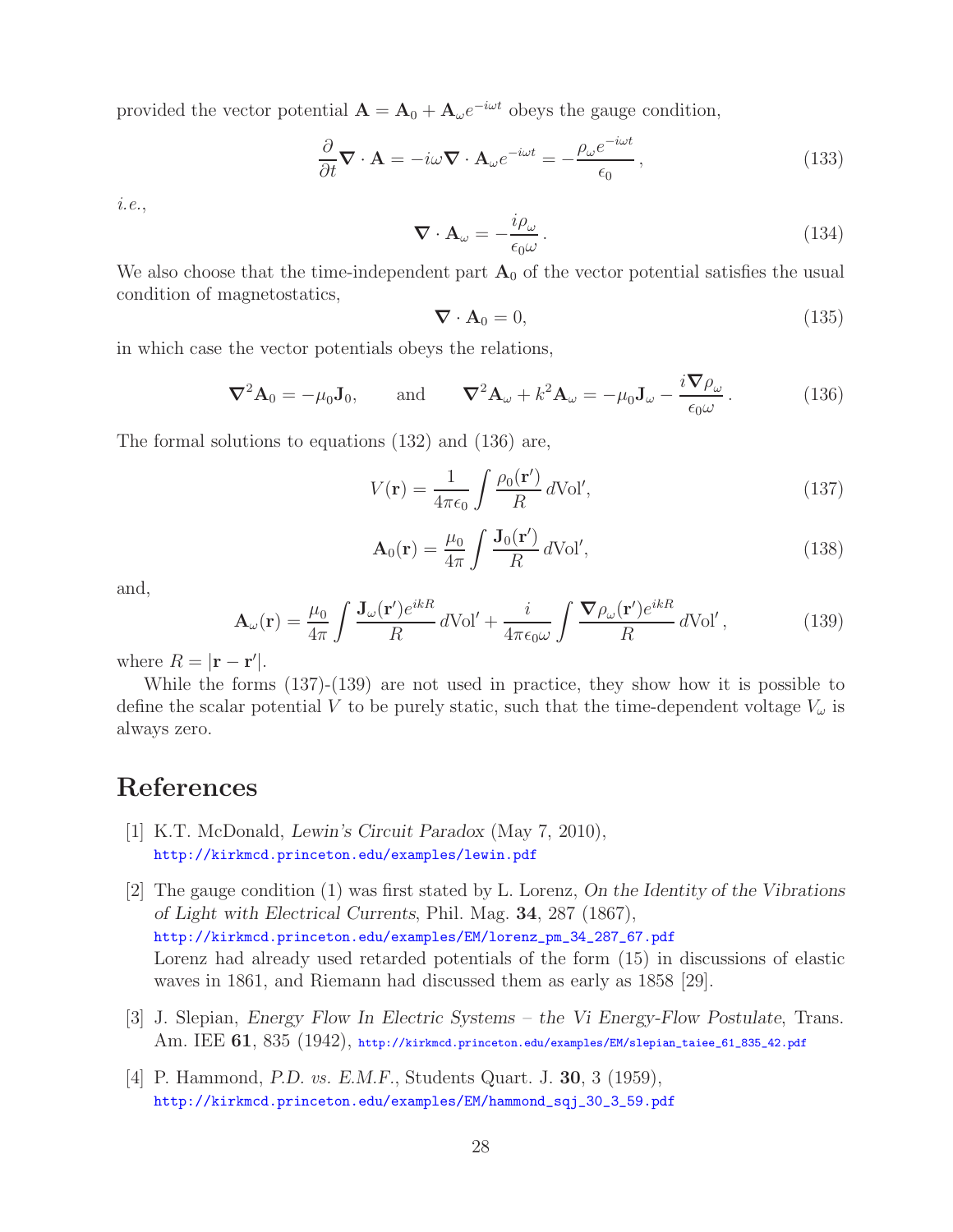provided the vector potential  $\mathbf{A} = \mathbf{A}_0 + \mathbf{A}_{\omega} e^{-i\omega t}$  obeys the gauge condition,

$$
\frac{\partial}{\partial t} \nabla \cdot \mathbf{A} = -i\omega \nabla \cdot \mathbf{A}_{\omega} e^{-i\omega t} = -\frac{\rho_{\omega} e^{-i\omega t}}{\epsilon_0},\tag{133}
$$

*i.e.*,

$$
\nabla \cdot \mathbf{A}_{\omega} = -\frac{i\rho_{\omega}}{\epsilon_0 \omega}.
$$
 (134)

We also choose that the time-independent part  $A_0$  of the vector potential satisfies the usual condition of magnetostatics,

$$
\nabla \cdot \mathbf{A}_0 = 0,\tag{135}
$$

in which case the vector potentials obeys the relations,

$$
\nabla^2 \mathbf{A}_0 = -\mu_0 \mathbf{J}_0, \quad \text{and} \quad \nabla^2 \mathbf{A}_\omega + k^2 \mathbf{A}_\omega = -\mu_0 \mathbf{J}_\omega - \frac{i \nabla \rho_\omega}{\epsilon_0 \omega}.
$$
 (136)

The formal solutions to equations (132) and (136) are,

$$
V(\mathbf{r}) = \frac{1}{4\pi\epsilon_0} \int \frac{\rho_0(\mathbf{r}')}{R} d\text{Vol}',\tag{137}
$$

$$
\mathbf{A}_0(\mathbf{r}) = \frac{\mu_0}{4\pi} \int \frac{\mathbf{J}_0(\mathbf{r}')}{R} d\text{Vol}',\tag{138}
$$

and,

$$
\mathbf{A}_{\omega}(\mathbf{r}) = \frac{\mu_0}{4\pi} \int \frac{\mathbf{J}_{\omega}(\mathbf{r}')e^{ikR}}{R} d\text{Vol}' + \frac{i}{4\pi\epsilon_0\omega} \int \frac{\nabla \rho_{\omega}(\mathbf{r}')e^{ikR}}{R} d\text{Vol}',\tag{139}
$$

where  $R = |\mathbf{r} - \mathbf{r}'|$ .

While the forms (137)-(139) are not used in practice, they show how it is possible to define the scalar potential V to be purely static, such that the time-dependent voltage  $V_{\omega}$  is always zero.

# **References**

- [1] K.T. McDonald, *Lewin's Circuit Paradox* (May 7, 2010), http://kirkmcd.princeton.edu/examples/lewin.pdf
- [2] The gauge condition (1) was first stated by L. Lorenz, *On the Identity of the Vibrations of Light with Electrical Currents*, Phil. Mag. **34**, 287 (1867), http://kirkmcd.princeton.edu/examples/EM/lorenz\_pm\_34\_287\_67.pdf Lorenz had already used retarded potentials of the form (15) in discussions of elastic waves in 1861, and Riemann had discussed them as early as 1858 [29].
- [3] J. Slepian, *Energy Flow In Electric Systems the Vi Energy-Flow Postulate*, Trans. Am. IEE **61**, 835 (1942), http://kirkmcd.princeton.edu/examples/EM/slepian\_taiee\_61\_835\_42.pdf
- [4] P. Hammond, *P.D. vs. E.M.F.*, Students Quart. J. **30**, 3 (1959), http://kirkmcd.princeton.edu/examples/EM/hammond\_sqj\_30\_3\_59.pdf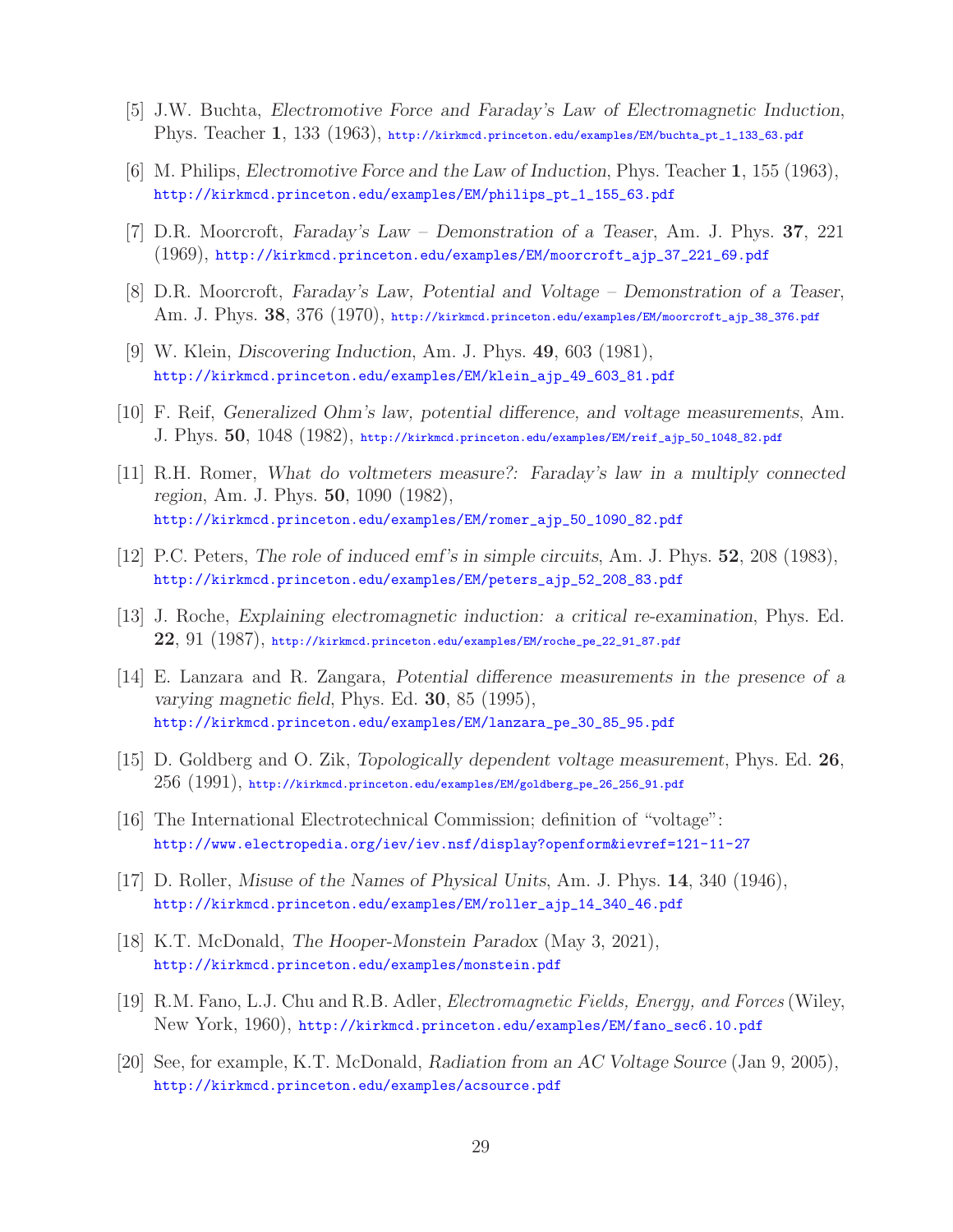- [5] J.W. Buchta, *Electromotive Force and Faraday's Law of Electromagnetic Induction*, Phys. Teacher **1**, 133 (1963), http://kirkmcd.princeton.edu/examples/EM/buchta\_pt\_1\_133\_63.pdf
- [6] M. Philips, *Electromotive Force and the Law of Induction*, Phys. Teacher **1**, 155 (1963), http://kirkmcd.princeton.edu/examples/EM/philips\_pt\_1\_155\_63.pdf
- [7] D.R. Moorcroft, *Faraday's Law Demonstration of a Teaser*, Am. J. Phys. **37**, 221 (1969), http://kirkmcd.princeton.edu/examples/EM/moorcroft\_ajp\_37\_221\_69.pdf
- [8] D.R. Moorcroft, *Faraday's Law, Potential and Voltage Demonstration of a Teaser*, Am. J. Phys. **38**, 376 (1970), http://kirkmcd.princeton.edu/examples/EM/moorcroft\_ajp\_38\_376.pdf
- [9] W. Klein, *Discovering Induction*, Am. J. Phys. **49**, 603 (1981), http://kirkmcd.princeton.edu/examples/EM/klein\_ajp\_49\_603\_81.pdf
- [10] F. Reif, *Generalized Ohm's law, potential difference, and voltage measurements*, Am. J. Phys. **50**, 1048 (1982), http://kirkmcd.princeton.edu/examples/EM/reif\_ajp\_50\_1048\_82.pdf
- [11] R.H. Romer, *What do voltmeters measure?: Faraday's law in a multiply connected region*, Am. J. Phys. **50**, 1090 (1982), http://kirkmcd.princeton.edu/examples/EM/romer\_ajp\_50\_1090\_82.pdf
- [12] P.C. Peters, *The role of induced emf's in simple circuits*, Am. J. Phys. **52**, 208 (1983), http://kirkmcd.princeton.edu/examples/EM/peters\_ajp\_52\_208\_83.pdf
- [13] J. Roche, *Explaining electromagnetic induction: a critical re-examination*, Phys. Ed. **22**, 91 (1987), http://kirkmcd.princeton.edu/examples/EM/roche\_pe\_22\_91\_87.pdf
- [14] E. Lanzara and R. Zangara, *Potential difference measurements in the presence of a varying magnetic field*, Phys. Ed. **30**, 85 (1995), http://kirkmcd.princeton.edu/examples/EM/lanzara\_pe\_30\_85\_95.pdf
- [15] D. Goldberg and O. Zik, *Topologically dependent voltage measurement*, Phys. Ed. **26**,  $256$  (1991), http://kirkmcd.princeton.edu/examples/EM/goldberg\_pe\_26\_256\_91.pdf
- [16] The International Electrotechnical Commission; definition of "voltage": http://www.electropedia.org/iev/iev.nsf/display?openform&ievref=121-11-27
- [17] D. Roller, *Misuse of the Names of Physical Units*, Am. J. Phys. **14**, 340 (1946), http://kirkmcd.princeton.edu/examples/EM/roller\_ajp\_14\_340\_46.pdf
- [18] K.T. McDonald, *The Hooper-Monstein Paradox* (May 3, 2021), http://kirkmcd.princeton.edu/examples/monstein.pdf
- [19] R.M. Fano, L.J. Chu and R.B. Adler, *Electromagnetic Fields, Energy, and Forces* (Wiley, New York, 1960), http://kirkmcd.princeton.edu/examples/EM/fano\_sec6.10.pdf
- [20] See, for example, K.T. McDonald, *Radiation from an AC Voltage Source* (Jan 9, 2005), http://kirkmcd.princeton.edu/examples/acsource.pdf